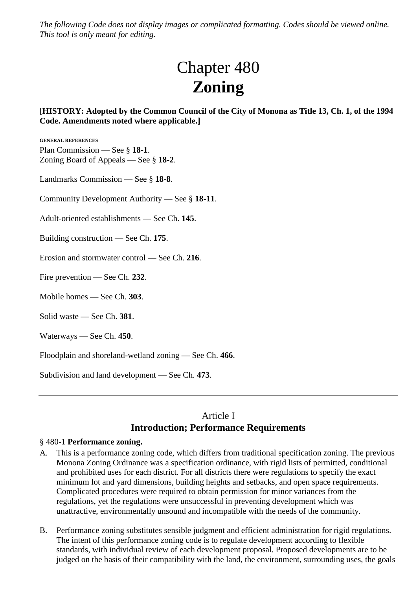*The following Code does not display images or complicated formatting. Codes should be viewed online. This tool is only meant for editing.*

# Chapter 480 **Zoning**

## **[HISTORY: Adopted by the Common Council of the City of Monona as Title 13, Ch. 1, of the 1994 Code. Amendments noted where applicable.]**

**GENERAL REFERENCES** Plan Commission — See § **18-1**. Zoning Board of Appeals — See § **18-2**.

Landmarks Commission — See § **18-8**.

Community Development Authority — See § **18-11**.

Adult-oriented establishments — See Ch. **145**.

Building construction — See Ch. **175**.

Erosion and stormwater control — See Ch. **216**.

Fire prevention — See Ch. **232**.

Mobile homes — See Ch. **303**.

Solid waste — See Ch. **381**.

Waterways — See Ch. **450**.

Floodplain and shoreland-wetland zoning — See Ch. **466**.

Subdivision and land development — See Ch. **473**.

# Article I **Introduction; Performance Requirements**

#### § 480-1 **Performance zoning.**

- A. This is a performance zoning code, which differs from traditional specification zoning. The previous Monona Zoning Ordinance was a specification ordinance, with rigid lists of permitted, conditional and prohibited uses for each district. For all districts there were regulations to specify the exact minimum lot and yard dimensions, building heights and setbacks, and open space requirements. Complicated procedures were required to obtain permission for minor variances from the regulations, yet the regulations were unsuccessful in preventing development which was unattractive, environmentally unsound and incompatible with the needs of the community.
- B. Performance zoning substitutes sensible judgment and efficient administration for rigid regulations. The intent of this performance zoning code is to regulate development according to flexible standards, with individual review of each development proposal. Proposed developments are to be judged on the basis of their compatibility with the land, the environment, surrounding uses, the goals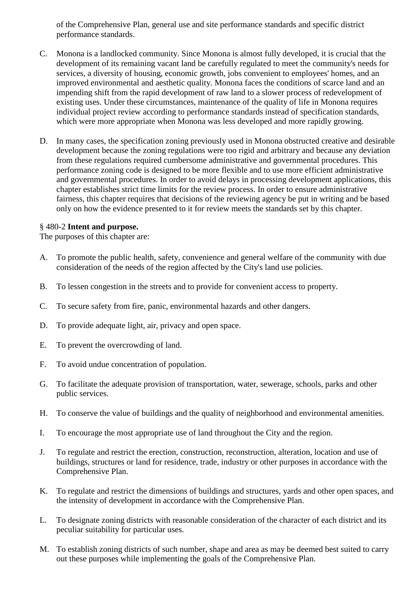of the Comprehensive Plan, general use and site performance standards and specific district performance standards.

- C. Monona is a landlocked community. Since Monona is almost fully developed, it is crucial that the development of its remaining vacant land be carefully regulated to meet the community's needs for services, a diversity of housing, economic growth, jobs convenient to employees' homes, and an improved environmental and aesthetic quality. Monona faces the conditions of scarce land and an impending shift from the rapid development of raw land to a slower process of redevelopment of existing uses. Under these circumstances, maintenance of the quality of life in Monona requires individual project review according to performance standards instead of specification standards, which were more appropriate when Monona was less developed and more rapidly growing.
- D. In many cases, the specification zoning previously used in Monona obstructed creative and desirable development because the zoning regulations were too rigid and arbitrary and because any deviation from these regulations required cumbersome administrative and governmental procedures. This performance zoning code is designed to be more flexible and to use more efficient administrative and governmental procedures. In order to avoid delays in processing development applications, this chapter establishes strict time limits for the review process. In order to ensure administrative fairness, this chapter requires that decisions of the reviewing agency be put in writing and be based only on how the evidence presented to it for review meets the standards set by this chapter.

## § 480-2 **Intent and purpose.**

The purposes of this chapter are:

- A. To promote the public health, safety, convenience and general welfare of the community with due consideration of the needs of the region affected by the City's land use policies.
- B. To lessen congestion in the streets and to provide for convenient access to property.
- C. To secure safety from fire, panic, environmental hazards and other dangers.
- D. To provide adequate light, air, privacy and open space.
- E. To prevent the overcrowding of land.
- F. To avoid undue concentration of population.
- G. To facilitate the adequate provision of transportation, water, sewerage, schools, parks and other public services.
- H. To conserve the value of buildings and the quality of neighborhood and environmental amenities.
- I. To encourage the most appropriate use of land throughout the City and the region.
- J. To regulate and restrict the erection, construction, reconstruction, alteration, location and use of buildings, structures or land for residence, trade, industry or other purposes in accordance with the Comprehensive Plan.
- K. To regulate and restrict the dimensions of buildings and structures, yards and other open spaces, and the intensity of development in accordance with the Comprehensive Plan.
- L. To designate zoning districts with reasonable consideration of the character of each district and its peculiar suitability for particular uses.
- M. To establish zoning districts of such number, shape and area as may be deemed best suited to carry out these purposes while implementing the goals of the Comprehensive Plan.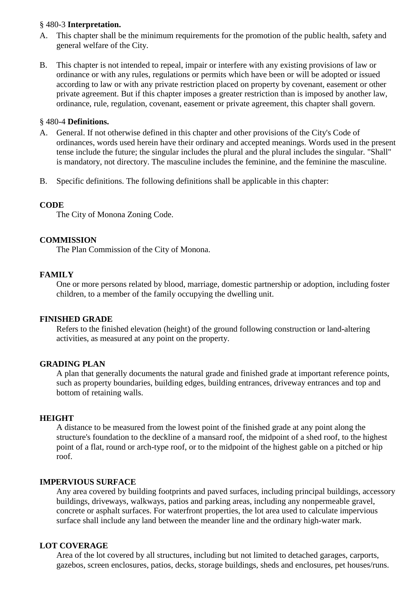#### § 480-3 **Interpretation.**

- A. This chapter shall be the minimum requirements for the promotion of the public health, safety and general welfare of the City.
- B. This chapter is not intended to repeal, impair or interfere with any existing provisions of law or ordinance or with any rules, regulations or permits which have been or will be adopted or issued according to law or with any private restriction placed on property by covenant, easement or other private agreement. But if this chapter imposes a greater restriction than is imposed by another law, ordinance, rule, regulation, covenant, easement or private agreement, this chapter shall govern.

## § 480-4 **Definitions.**

- A. General. If not otherwise defined in this chapter and other provisions of the City's Code of ordinances, words used herein have their ordinary and accepted meanings. Words used in the present tense include the future; the singular includes the plural and the plural includes the singular. "Shall" is mandatory, not directory. The masculine includes the feminine, and the feminine the masculine.
- B. Specific definitions. The following definitions shall be applicable in this chapter:

#### **CODE**

The City of Monona Zoning Code.

#### **COMMISSION**

The Plan Commission of the City of Monona.

#### **FAMILY**

One or more persons related by blood, marriage, domestic partnership or adoption, including foster children, to a member of the family occupying the dwelling unit.

#### **FINISHED GRADE**

Refers to the finished elevation (height) of the ground following construction or land-altering activities, as measured at any point on the property.

#### **GRADING PLAN**

A plan that generally documents the natural grade and finished grade at important reference points, such as property boundaries, building edges, building entrances, driveway entrances and top and bottom of retaining walls.

#### **HEIGHT**

A distance to be measured from the lowest point of the finished grade at any point along the structure's foundation to the deckline of a mansard roof, the midpoint of a shed roof, to the highest point of a flat, round or arch-type roof, or to the midpoint of the highest gable on a pitched or hip roof.

#### **IMPERVIOUS SURFACE**

Any area covered by building footprints and paved surfaces, including principal buildings, accessory buildings, driveways, walkways, patios and parking areas, including any nonpermeable gravel, concrete or asphalt surfaces. For waterfront properties, the lot area used to calculate impervious surface shall include any land between the meander line and the ordinary high-water mark.

#### **LOT COVERAGE**

Area of the lot covered by all structures, including but not limited to detached garages, carports, gazebos, screen enclosures, patios, decks, storage buildings, sheds and enclosures, pet houses/runs.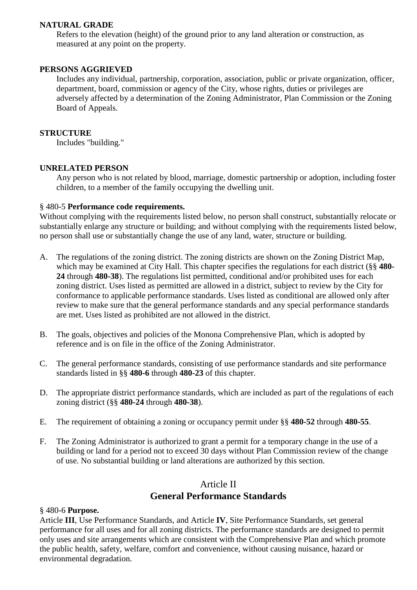#### **NATURAL GRADE**

Refers to the elevation (height) of the ground prior to any land alteration or construction, as measured at any point on the property.

## **PERSONS AGGRIEVED**

Includes any individual, partnership, corporation, association, public or private organization, officer, department, board, commission or agency of the City, whose rights, duties or privileges are adversely affected by a determination of the Zoning Administrator, Plan Commission or the Zoning Board of Appeals.

#### **STRUCTURE**

Includes "building."

## **UNRELATED PERSON**

Any person who is not related by blood, marriage, domestic partnership or adoption, including foster children, to a member of the family occupying the dwelling unit.

## § 480-5 **Performance code requirements.**

Without complying with the requirements listed below, no person shall construct, substantially relocate or substantially enlarge any structure or building; and without complying with the requirements listed below, no person shall use or substantially change the use of any land, water, structure or building.

- A. The regulations of the zoning district. The zoning districts are shown on the Zoning District Map, which may be examined at City Hall. This chapter specifies the regulations for each district (§§ **480- 24** through **480-38**). The regulations list permitted, conditional and/or prohibited uses for each zoning district. Uses listed as permitted are allowed in a district, subject to review by the City for conformance to applicable performance standards. Uses listed as conditional are allowed only after review to make sure that the general performance standards and any special performance standards are met. Uses listed as prohibited are not allowed in the district.
- B. The goals, objectives and policies of the Monona Comprehensive Plan, which is adopted by reference and is on file in the office of the Zoning Administrator.
- C. The general performance standards, consisting of use performance standards and site performance standards listed in §§ **480-6** through **480-23** of this chapter.
- D. The appropriate district performance standards, which are included as part of the regulations of each zoning district (§§ **480-24** through **480-38**).
- E. The requirement of obtaining a zoning or occupancy permit under §§ **480-52** through **480-55**.
- F. The Zoning Administrator is authorized to grant a permit for a temporary change in the use of a building or land for a period not to exceed 30 days without Plan Commission review of the change of use. No substantial building or land alterations are authorized by this section.

# Article II **General Performance Standards**

#### § 480-6 **Purpose.**

Article **III**, Use Performance Standards, and Article **IV**, Site Performance Standards, set general performance for all uses and for all zoning districts. The performance standards are designed to permit only uses and site arrangements which are consistent with the Comprehensive Plan and which promote the public health, safety, welfare, comfort and convenience, without causing nuisance, hazard or environmental degradation.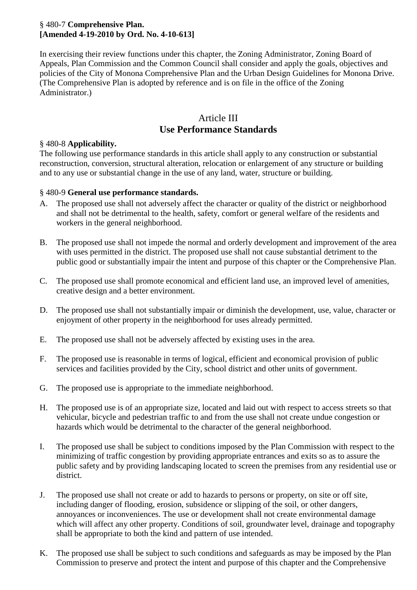## § 480-7 **Comprehensive Plan. [Amended 4-19-2010 by Ord. No. 4-10-613]**

In exercising their review functions under this chapter, the Zoning Administrator, Zoning Board of Appeals, Plan Commission and the Common Council shall consider and apply the goals, objectives and policies of the City of Monona Comprehensive Plan and the Urban Design Guidelines for Monona Drive. (The Comprehensive Plan is adopted by reference and is on file in the office of the Zoning Administrator.)

# Article III **Use Performance Standards**

## § 480-8 **Applicability.**

The following use performance standards in this article shall apply to any construction or substantial reconstruction, conversion, structural alteration, relocation or enlargement of any structure or building and to any use or substantial change in the use of any land, water, structure or building.

#### § 480-9 **General use performance standards.**

- A. The proposed use shall not adversely affect the character or quality of the district or neighborhood and shall not be detrimental to the health, safety, comfort or general welfare of the residents and workers in the general neighborhood.
- B. The proposed use shall not impede the normal and orderly development and improvement of the area with uses permitted in the district. The proposed use shall not cause substantial detriment to the public good or substantially impair the intent and purpose of this chapter or the Comprehensive Plan.
- C. The proposed use shall promote economical and efficient land use, an improved level of amenities, creative design and a better environment.
- D. The proposed use shall not substantially impair or diminish the development, use, value, character or enjoyment of other property in the neighborhood for uses already permitted.
- E. The proposed use shall not be adversely affected by existing uses in the area.
- F. The proposed use is reasonable in terms of logical, efficient and economical provision of public services and facilities provided by the City, school district and other units of government.
- G. The proposed use is appropriate to the immediate neighborhood.
- H. The proposed use is of an appropriate size, located and laid out with respect to access streets so that vehicular, bicycle and pedestrian traffic to and from the use shall not create undue congestion or hazards which would be detrimental to the character of the general neighborhood.
- I. The proposed use shall be subject to conditions imposed by the Plan Commission with respect to the minimizing of traffic congestion by providing appropriate entrances and exits so as to assure the public safety and by providing landscaping located to screen the premises from any residential use or district.
- J. The proposed use shall not create or add to hazards to persons or property, on site or off site, including danger of flooding, erosion, subsidence or slipping of the soil, or other dangers, annoyances or inconveniences. The use or development shall not create environmental damage which will affect any other property. Conditions of soil, groundwater level, drainage and topography shall be appropriate to both the kind and pattern of use intended.
- K. The proposed use shall be subject to such conditions and safeguards as may be imposed by the Plan Commission to preserve and protect the intent and purpose of this chapter and the Comprehensive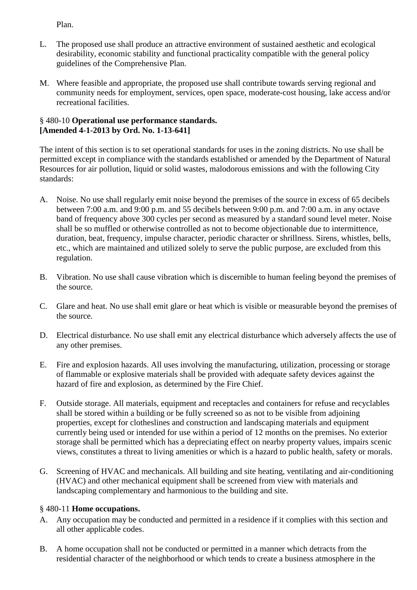Plan.

- L. The proposed use shall produce an attractive environment of sustained aesthetic and ecological desirability, economic stability and functional practicality compatible with the general policy guidelines of the Comprehensive Plan.
- M. Where feasible and appropriate, the proposed use shall contribute towards serving regional and community needs for employment, services, open space, moderate-cost housing, lake access and/or recreational facilities.

## § 480-10 **Operational use performance standards. [Amended 4-1-2013 by Ord. No. 1-13-641]**

The intent of this section is to set operational standards for uses in the zoning districts. No use shall be permitted except in compliance with the standards established or amended by the Department of Natural Resources for air pollution, liquid or solid wastes, malodorous emissions and with the following City standards:

- A. Noise. No use shall regularly emit noise beyond the premises of the source in excess of 65 decibels between 7:00 a.m. and 9:00 p.m. and 55 decibels between 9:00 p.m. and 7:00 a.m. in any octave band of frequency above 300 cycles per second as measured by a standard sound level meter. Noise shall be so muffled or otherwise controlled as not to become objectionable due to intermittence, duration, beat, frequency, impulse character, periodic character or shrillness. Sirens, whistles, bells, etc., which are maintained and utilized solely to serve the public purpose, are excluded from this regulation.
- B. Vibration. No use shall cause vibration which is discernible to human feeling beyond the premises of the source.
- C. Glare and heat. No use shall emit glare or heat which is visible or measurable beyond the premises of the source.
- D. Electrical disturbance. No use shall emit any electrical disturbance which adversely affects the use of any other premises.
- E. Fire and explosion hazards. All uses involving the manufacturing, utilization, processing or storage of flammable or explosive materials shall be provided with adequate safety devices against the hazard of fire and explosion, as determined by the Fire Chief.
- F. Outside storage. All materials, equipment and receptacles and containers for refuse and recyclables shall be stored within a building or be fully screened so as not to be visible from adjoining properties, except for clotheslines and construction and landscaping materials and equipment currently being used or intended for use within a period of 12 months on the premises. No exterior storage shall be permitted which has a depreciating effect on nearby property values, impairs scenic views, constitutes a threat to living amenities or which is a hazard to public health, safety or morals.
- G. Screening of HVAC and mechanicals. All building and site heating, ventilating and air-conditioning (HVAC) and other mechanical equipment shall be screened from view with materials and landscaping complementary and harmonious to the building and site.

## § 480-11 **Home occupations.**

- A. Any occupation may be conducted and permitted in a residence if it complies with this section and all other applicable codes.
- B. A home occupation shall not be conducted or permitted in a manner which detracts from the residential character of the neighborhood or which tends to create a business atmosphere in the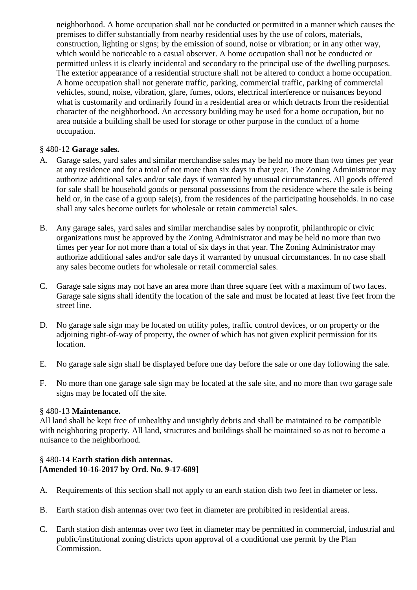neighborhood. A home occupation shall not be conducted or permitted in a manner which causes the premises to differ substantially from nearby residential uses by the use of colors, materials, construction, lighting or signs; by the emission of sound, noise or vibration; or in any other way, which would be noticeable to a casual observer. A home occupation shall not be conducted or permitted unless it is clearly incidental and secondary to the principal use of the dwelling purposes. The exterior appearance of a residential structure shall not be altered to conduct a home occupation. A home occupation shall not generate traffic, parking, commercial traffic, parking of commercial vehicles, sound, noise, vibration, glare, fumes, odors, electrical interference or nuisances beyond what is customarily and ordinarily found in a residential area or which detracts from the residential character of the neighborhood. An accessory building may be used for a home occupation, but no area outside a building shall be used for storage or other purpose in the conduct of a home occupation.

## § 480-12 **Garage sales.**

- A. Garage sales, yard sales and similar merchandise sales may be held no more than two times per year at any residence and for a total of not more than six days in that year. The Zoning Administrator may authorize additional sales and/or sale days if warranted by unusual circumstances. All goods offered for sale shall be household goods or personal possessions from the residence where the sale is being held or, in the case of a group sale(s), from the residences of the participating households. In no case shall any sales become outlets for wholesale or retain commercial sales.
- B. Any garage sales, yard sales and similar merchandise sales by nonprofit, philanthropic or civic organizations must be approved by the Zoning Administrator and may be held no more than two times per year for not more than a total of six days in that year. The Zoning Administrator may authorize additional sales and/or sale days if warranted by unusual circumstances. In no case shall any sales become outlets for wholesale or retail commercial sales.
- C. Garage sale signs may not have an area more than three square feet with a maximum of two faces. Garage sale signs shall identify the location of the sale and must be located at least five feet from the street line.
- D. No garage sale sign may be located on utility poles, traffic control devices, or on property or the adjoining right-of-way of property, the owner of which has not given explicit permission for its location.
- E. No garage sale sign shall be displayed before one day before the sale or one day following the sale.
- F. No more than one garage sale sign may be located at the sale site, and no more than two garage sale signs may be located off the site.

#### § 480-13 **Maintenance.**

All land shall be kept free of unhealthy and unsightly debris and shall be maintained to be compatible with neighboring property. All land, structures and buildings shall be maintained so as not to become a nuisance to the neighborhood.

## § 480-14 **Earth station dish antennas. [Amended 10-16-2017 by Ord. No. 9-17-689]**

- A. Requirements of this section shall not apply to an earth station dish two feet in diameter or less.
- B. Earth station dish antennas over two feet in diameter are prohibited in residential areas.
- C. Earth station dish antennas over two feet in diameter may be permitted in commercial, industrial and public/institutional zoning districts upon approval of a conditional use permit by the Plan Commission.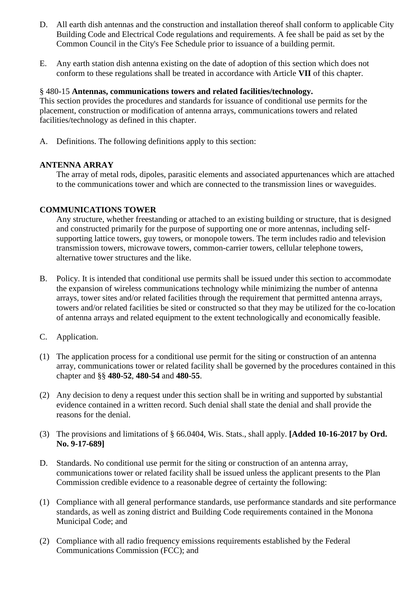- D. All earth dish antennas and the construction and installation thereof shall conform to applicable City Building Code and Electrical Code regulations and requirements. A fee shall be paid as set by the Common Council in the City's Fee Schedule prior to issuance of a building permit.
- E. Any earth station dish antenna existing on the date of adoption of this section which does not conform to these regulations shall be treated in accordance with Article **VII** of this chapter.

#### § 480-15 **Antennas, communications towers and related facilities/technology.**

This section provides the procedures and standards for issuance of conditional use permits for the placement, construction or modification of antenna arrays, communications towers and related facilities/technology as defined in this chapter.

A. Definitions. The following definitions apply to this section:

## **ANTENNA ARRAY**

The array of metal rods, dipoles, parasitic elements and associated appurtenances which are attached to the communications tower and which are connected to the transmission lines or waveguides.

## **COMMUNICATIONS TOWER**

Any structure, whether freestanding or attached to an existing building or structure, that is designed and constructed primarily for the purpose of supporting one or more antennas, including selfsupporting lattice towers, guy towers, or monopole towers. The term includes radio and television transmission towers, microwave towers, common-carrier towers, cellular telephone towers, alternative tower structures and the like.

- B. Policy. It is intended that conditional use permits shall be issued under this section to accommodate the expansion of wireless communications technology while minimizing the number of antenna arrays, tower sites and/or related facilities through the requirement that permitted antenna arrays, towers and/or related facilities be sited or constructed so that they may be utilized for the co-location of antenna arrays and related equipment to the extent technologically and economically feasible.
- C. Application.
- (1) The application process for a conditional use permit for the siting or construction of an antenna array, communications tower or related facility shall be governed by the procedures contained in this chapter and §§ **480-52**, **480-54** and **480-55**.
- (2) Any decision to deny a request under this section shall be in writing and supported by substantial evidence contained in a written record. Such denial shall state the denial and shall provide the reasons for the denial.
- (3) The provisions and limitations of § 66.0404, Wis. Stats., shall apply. **[Added 10-16-2017 by Ord. No. 9-17-689]**
- D. Standards. No conditional use permit for the siting or construction of an antenna array, communications tower or related facility shall be issued unless the applicant presents to the Plan Commission credible evidence to a reasonable degree of certainty the following:
- (1) Compliance with all general performance standards, use performance standards and site performance standards, as well as zoning district and Building Code requirements contained in the Monona Municipal Code; and
- (2) Compliance with all radio frequency emissions requirements established by the Federal Communications Commission (FCC); and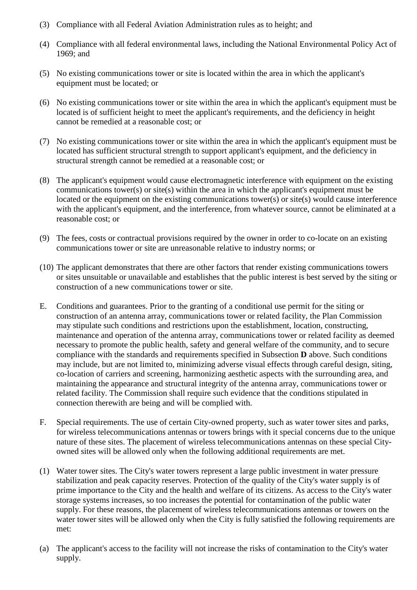- (3) Compliance with all Federal Aviation Administration rules as to height; and
- (4) Compliance with all federal environmental laws, including the National Environmental Policy Act of 1969; and
- (5) No existing communications tower or site is located within the area in which the applicant's equipment must be located; or
- (6) No existing communications tower or site within the area in which the applicant's equipment must be located is of sufficient height to meet the applicant's requirements, and the deficiency in height cannot be remedied at a reasonable cost; or
- (7) No existing communications tower or site within the area in which the applicant's equipment must be located has sufficient structural strength to support applicant's equipment, and the deficiency in structural strength cannot be remedied at a reasonable cost; or
- (8) The applicant's equipment would cause electromagnetic interference with equipment on the existing communications tower(s) or site(s) within the area in which the applicant's equipment must be located or the equipment on the existing communications tower(s) or site(s) would cause interference with the applicant's equipment, and the interference, from whatever source, cannot be eliminated at a reasonable cost; or
- (9) The fees, costs or contractual provisions required by the owner in order to co-locate on an existing communications tower or site are unreasonable relative to industry norms; or
- (10) The applicant demonstrates that there are other factors that render existing communications towers or sites unsuitable or unavailable and establishes that the public interest is best served by the siting or construction of a new communications tower or site.
- E. Conditions and guarantees. Prior to the granting of a conditional use permit for the siting or construction of an antenna array, communications tower or related facility, the Plan Commission may stipulate such conditions and restrictions upon the establishment, location, constructing, maintenance and operation of the antenna array, communications tower or related facility as deemed necessary to promote the public health, safety and general welfare of the community, and to secure compliance with the standards and requirements specified in Subsection **D** above. Such conditions may include, but are not limited to, minimizing adverse visual effects through careful design, siting, co-location of carriers and screening, harmonizing aesthetic aspects with the surrounding area, and maintaining the appearance and structural integrity of the antenna array, communications tower or related facility. The Commission shall require such evidence that the conditions stipulated in connection therewith are being and will be complied with.
- F. Special requirements. The use of certain City-owned property, such as water tower sites and parks, for wireless telecommunications antennas or towers brings with it special concerns due to the unique nature of these sites. The placement of wireless telecommunications antennas on these special Cityowned sites will be allowed only when the following additional requirements are met.
- (1) Water tower sites. The City's water towers represent a large public investment in water pressure stabilization and peak capacity reserves. Protection of the quality of the City's water supply is of prime importance to the City and the health and welfare of its citizens. As access to the City's water storage systems increases, so too increases the potential for contamination of the public water supply. For these reasons, the placement of wireless telecommunications antennas or towers on the water tower sites will be allowed only when the City is fully satisfied the following requirements are met:
- (a) The applicant's access to the facility will not increase the risks of contamination to the City's water supply.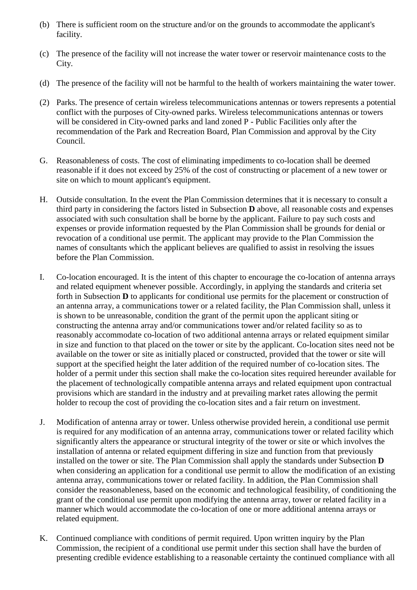- (b) There is sufficient room on the structure and/or on the grounds to accommodate the applicant's facility.
- (c) The presence of the facility will not increase the water tower or reservoir maintenance costs to the City.
- (d) The presence of the facility will not be harmful to the health of workers maintaining the water tower.
- (2) Parks. The presence of certain wireless telecommunications antennas or towers represents a potential conflict with the purposes of City-owned parks. Wireless telecommunications antennas or towers will be considered in City-owned parks and land zoned P - Public Facilities only after the recommendation of the Park and Recreation Board, Plan Commission and approval by the City Council.
- G. Reasonableness of costs. The cost of eliminating impediments to co-location shall be deemed reasonable if it does not exceed by 25% of the cost of constructing or placement of a new tower or site on which to mount applicant's equipment.
- H. Outside consultation. In the event the Plan Commission determines that it is necessary to consult a third party in considering the factors listed in Subsection **D** above, all reasonable costs and expenses associated with such consultation shall be borne by the applicant. Failure to pay such costs and expenses or provide information requested by the Plan Commission shall be grounds for denial or revocation of a conditional use permit. The applicant may provide to the Plan Commission the names of consultants which the applicant believes are qualified to assist in resolving the issues before the Plan Commission.
- I. Co-location encouraged. It is the intent of this chapter to encourage the co-location of antenna arrays and related equipment whenever possible. Accordingly, in applying the standards and criteria set forth in Subsection **D** to applicants for conditional use permits for the placement or construction of an antenna array, a communications tower or a related facility, the Plan Commission shall, unless it is shown to be unreasonable, condition the grant of the permit upon the applicant siting or constructing the antenna array and/or communications tower and/or related facility so as to reasonably accommodate co-location of two additional antenna arrays or related equipment similar in size and function to that placed on the tower or site by the applicant. Co-location sites need not be available on the tower or site as initially placed or constructed, provided that the tower or site will support at the specified height the later addition of the required number of co-location sites. The holder of a permit under this section shall make the co-location sites required hereunder available for the placement of technologically compatible antenna arrays and related equipment upon contractual provisions which are standard in the industry and at prevailing market rates allowing the permit holder to recoup the cost of providing the co-location sites and a fair return on investment.
- J. Modification of antenna array or tower. Unless otherwise provided herein, a conditional use permit is required for any modification of an antenna array, communications tower or related facility which significantly alters the appearance or structural integrity of the tower or site or which involves the installation of antenna or related equipment differing in size and function from that previously installed on the tower or site. The Plan Commission shall apply the standards under Subsection **D** when considering an application for a conditional use permit to allow the modification of an existing antenna array, communications tower or related facility. In addition, the Plan Commission shall consider the reasonableness, based on the economic and technological feasibility, of conditioning the grant of the conditional use permit upon modifying the antenna array, tower or related facility in a manner which would accommodate the co-location of one or more additional antenna arrays or related equipment.
- K. Continued compliance with conditions of permit required. Upon written inquiry by the Plan Commission, the recipient of a conditional use permit under this section shall have the burden of presenting credible evidence establishing to a reasonable certainty the continued compliance with all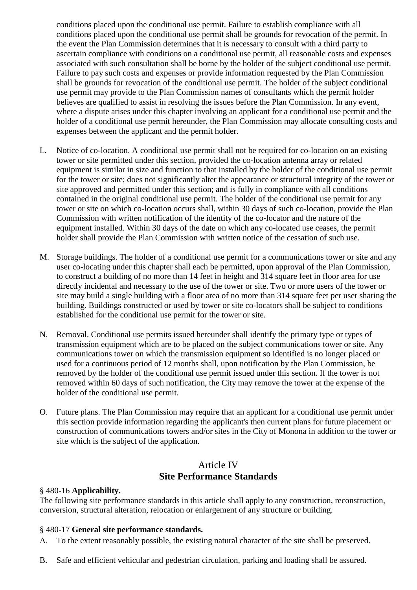conditions placed upon the conditional use permit. Failure to establish compliance with all conditions placed upon the conditional use permit shall be grounds for revocation of the permit. In the event the Plan Commission determines that it is necessary to consult with a third party to ascertain compliance with conditions on a conditional use permit, all reasonable costs and expenses associated with such consultation shall be borne by the holder of the subject conditional use permit. Failure to pay such costs and expenses or provide information requested by the Plan Commission shall be grounds for revocation of the conditional use permit. The holder of the subject conditional use permit may provide to the Plan Commission names of consultants which the permit holder believes are qualified to assist in resolving the issues before the Plan Commission. In any event, where a dispute arises under this chapter involving an applicant for a conditional use permit and the holder of a conditional use permit hereunder, the Plan Commission may allocate consulting costs and expenses between the applicant and the permit holder.

- L. Notice of co-location. A conditional use permit shall not be required for co-location on an existing tower or site permitted under this section, provided the co-location antenna array or related equipment is similar in size and function to that installed by the holder of the conditional use permit for the tower or site; does not significantly alter the appearance or structural integrity of the tower or site approved and permitted under this section; and is fully in compliance with all conditions contained in the original conditional use permit. The holder of the conditional use permit for any tower or site on which co-location occurs shall, within 30 days of such co-location, provide the Plan Commission with written notification of the identity of the co-locator and the nature of the equipment installed. Within 30 days of the date on which any co-located use ceases, the permit holder shall provide the Plan Commission with written notice of the cessation of such use.
- M. Storage buildings. The holder of a conditional use permit for a communications tower or site and any user co-locating under this chapter shall each be permitted, upon approval of the Plan Commission, to construct a building of no more than 14 feet in height and 314 square feet in floor area for use directly incidental and necessary to the use of the tower or site. Two or more users of the tower or site may build a single building with a floor area of no more than 314 square feet per user sharing the building. Buildings constructed or used by tower or site co-locators shall be subject to conditions established for the conditional use permit for the tower or site.
- N. Removal. Conditional use permits issued hereunder shall identify the primary type or types of transmission equipment which are to be placed on the subject communications tower or site. Any communications tower on which the transmission equipment so identified is no longer placed or used for a continuous period of 12 months shall, upon notification by the Plan Commission, be removed by the holder of the conditional use permit issued under this section. If the tower is not removed within 60 days of such notification, the City may remove the tower at the expense of the holder of the conditional use permit.
- O. Future plans. The Plan Commission may require that an applicant for a conditional use permit under this section provide information regarding the applicant's then current plans for future placement or construction of communications towers and/or sites in the City of Monona in addition to the tower or site which is the subject of the application.

# Article IV **Site Performance Standards**

#### § 480-16 **Applicability.**

The following site performance standards in this article shall apply to any construction, reconstruction, conversion, structural alteration, relocation or enlargement of any structure or building.

## § 480-17 **General site performance standards.**

A. To the extent reasonably possible, the existing natural character of the site shall be preserved.

B. Safe and efficient vehicular and pedestrian circulation, parking and loading shall be assured.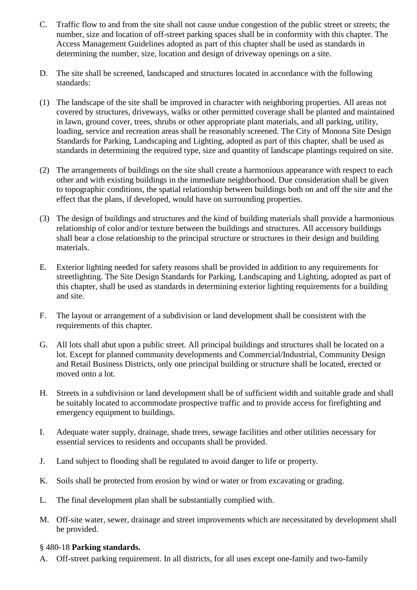- C. Traffic flow to and from the site shall not cause undue congestion of the public street or streets; the number, size and location of off-street parking spaces shall be in conformity with this chapter. The Access Management Guidelines adopted as part of this chapter shall be used as standards in determining the number, size, location and design of driveway openings on a site.
- D. The site shall be screened, landscaped and structures located in accordance with the following standards:
- (1) The landscape of the site shall be improved in character with neighboring properties. All areas not covered by structures, driveways, walks or other permitted coverage shall be planted and maintained in lawn, ground cover, trees, shrubs or other appropriate plant materials, and all parking, utility, loading, service and recreation areas shall be reasonably screened. The City of Monona Site Design Standards for Parking, Landscaping and Lighting, adopted as part of this chapter, shall be used as standards in determining the required type, size and quantity of landscape plantings required on site.
- (2) The arrangements of buildings on the site shall create a harmonious appearance with respect to each other and with existing buildings in the immediate neighborhood. Due consideration shall be given to topographic conditions, the spatial relationship between buildings both on and off the site and the effect that the plans, if developed, would have on surrounding properties.
- (3) The design of buildings and structures and the kind of building materials shall provide a harmonious relationship of color and/or texture between the buildings and structures. All accessory buildings shall bear a close relationship to the principal structure or structures in their design and building materials.
- E. Exterior lighting needed for safety reasons shall be provided in addition to any requirements for streetlighting. The Site Design Standards for Parking, Landscaping and Lighting, adopted as part of this chapter, shall be used as standards in determining exterior lighting requirements for a building and site.
- F. The layout or arrangement of a subdivision or land development shall be consistent with the requirements of this chapter.
- G. All lots shall abut upon a public street. All principal buildings and structures shall be located on a lot. Except for planned community developments and Commercial/Industrial, Community Design and Retail Business Districts, only one principal building or structure shall be located, erected or moved onto a lot.
- H. Streets in a subdivision or land development shall be of sufficient width and suitable grade and shall be suitably located to accommodate prospective traffic and to provide access for firefighting and emergency equipment to buildings.
- I. Adequate water supply, drainage, shade trees, sewage facilities and other utilities necessary for essential services to residents and occupants shall be provided.
- J. Land subject to flooding shall be regulated to avoid danger to life or property.
- K. Soils shall be protected from erosion by wind or water or from excavating or grading.
- L. The final development plan shall be substantially complied with.
- M. Off-site water, sewer, drainage and street improvements which are necessitated by development shall be provided.

## § 480-18 **Parking standards.**

A. Off-street parking requirement. In all districts, for all uses except one-family and two-family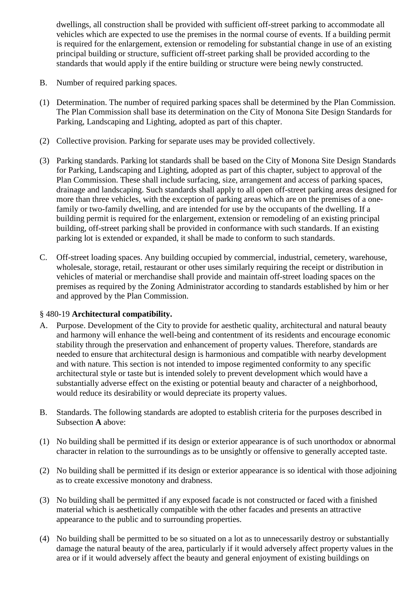dwellings, all construction shall be provided with sufficient off-street parking to accommodate all vehicles which are expected to use the premises in the normal course of events. If a building permit is required for the enlargement, extension or remodeling for substantial change in use of an existing principal building or structure, sufficient off-street parking shall be provided according to the standards that would apply if the entire building or structure were being newly constructed.

- B. Number of required parking spaces.
- (1) Determination. The number of required parking spaces shall be determined by the Plan Commission. The Plan Commission shall base its determination on the City of Monona Site Design Standards for Parking, Landscaping and Lighting, adopted as part of this chapter.
- (2) Collective provision. Parking for separate uses may be provided collectively.
- (3) Parking standards. Parking lot standards shall be based on the City of Monona Site Design Standards for Parking, Landscaping and Lighting, adopted as part of this chapter, subject to approval of the Plan Commission. These shall include surfacing, size, arrangement and access of parking spaces, drainage and landscaping. Such standards shall apply to all open off-street parking areas designed for more than three vehicles, with the exception of parking areas which are on the premises of a onefamily or two-family dwelling, and are intended for use by the occupants of the dwelling. If a building permit is required for the enlargement, extension or remodeling of an existing principal building, off-street parking shall be provided in conformance with such standards. If an existing parking lot is extended or expanded, it shall be made to conform to such standards.
- C. Off-street loading spaces. Any building occupied by commercial, industrial, cemetery, warehouse, wholesale, storage, retail, restaurant or other uses similarly requiring the receipt or distribution in vehicles of material or merchandise shall provide and maintain off-street loading spaces on the premises as required by the Zoning Administrator according to standards established by him or her and approved by the Plan Commission.

## § 480-19 **Architectural compatibility.**

- A. Purpose. Development of the City to provide for aesthetic quality, architectural and natural beauty and harmony will enhance the well-being and contentment of its residents and encourage economic stability through the preservation and enhancement of property values. Therefore, standards are needed to ensure that architectural design is harmonious and compatible with nearby development and with nature. This section is not intended to impose regimented conformity to any specific architectural style or taste but is intended solely to prevent development which would have a substantially adverse effect on the existing or potential beauty and character of a neighborhood, would reduce its desirability or would depreciate its property values.
- B. Standards. The following standards are adopted to establish criteria for the purposes described in Subsection **A** above:
- (1) No building shall be permitted if its design or exterior appearance is of such unorthodox or abnormal character in relation to the surroundings as to be unsightly or offensive to generally accepted taste.
- (2) No building shall be permitted if its design or exterior appearance is so identical with those adjoining as to create excessive monotony and drabness.
- (3) No building shall be permitted if any exposed facade is not constructed or faced with a finished material which is aesthetically compatible with the other facades and presents an attractive appearance to the public and to surrounding properties.
- (4) No building shall be permitted to be so situated on a lot as to unnecessarily destroy or substantially damage the natural beauty of the area, particularly if it would adversely affect property values in the area or if it would adversely affect the beauty and general enjoyment of existing buildings on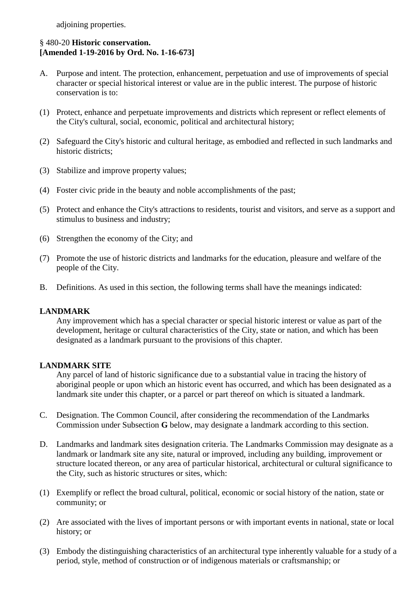adjoining properties.

## § 480-20 **Historic conservation. [Amended 1-19-2016 by Ord. No. 1-16-673]**

- A. Purpose and intent. The protection, enhancement, perpetuation and use of improvements of special character or special historical interest or value are in the public interest. The purpose of historic conservation is to:
- (1) Protect, enhance and perpetuate improvements and districts which represent or reflect elements of the City's cultural, social, economic, political and architectural history;
- (2) Safeguard the City's historic and cultural heritage, as embodied and reflected in such landmarks and historic districts;
- (3) Stabilize and improve property values;
- (4) Foster civic pride in the beauty and noble accomplishments of the past;
- (5) Protect and enhance the City's attractions to residents, tourist and visitors, and serve as a support and stimulus to business and industry;
- (6) Strengthen the economy of the City; and
- (7) Promote the use of historic districts and landmarks for the education, pleasure and welfare of the people of the City.
- B. Definitions. As used in this section, the following terms shall have the meanings indicated:

#### **LANDMARK**

Any improvement which has a special character or special historic interest or value as part of the development, heritage or cultural characteristics of the City, state or nation, and which has been designated as a landmark pursuant to the provisions of this chapter.

#### **LANDMARK SITE**

Any parcel of land of historic significance due to a substantial value in tracing the history of aboriginal people or upon which an historic event has occurred, and which has been designated as a landmark site under this chapter, or a parcel or part thereof on which is situated a landmark.

- C. Designation. The Common Council, after considering the recommendation of the Landmarks Commission under Subsection **G** below, may designate a landmark according to this section.
- D. Landmarks and landmark sites designation criteria. The Landmarks Commission may designate as a landmark or landmark site any site, natural or improved, including any building, improvement or structure located thereon, or any area of particular historical, architectural or cultural significance to the City, such as historic structures or sites, which:
- (1) Exemplify or reflect the broad cultural, political, economic or social history of the nation, state or community; or
- (2) Are associated with the lives of important persons or with important events in national, state or local history; or
- (3) Embody the distinguishing characteristics of an architectural type inherently valuable for a study of a period, style, method of construction or of indigenous materials or craftsmanship; or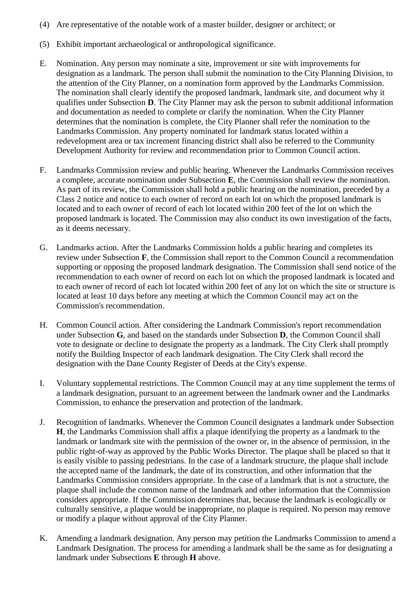- (4) Are representative of the notable work of a master builder, designer or architect; or
- (5) Exhibit important archaeological or anthropological significance.
- E. Nomination. Any person may nominate a site, improvement or site with improvements for designation as a landmark. The person shall submit the nomination to the City Planning Division, to the attention of the City Planner, on a nomination form approved by the Landmarks Commission. The nomination shall clearly identify the proposed landmark, landmark site, and document why it qualifies under Subsection **D**. The City Planner may ask the person to submit additional information and documentation as needed to complete or clarify the nomination. When the City Planner determines that the nomination is complete, the City Planner shall refer the nomination to the Landmarks Commission. Any property nominated for landmark status located within a redevelopment area or tax increment financing district shall also be referred to the Community Development Authority for review and recommendation prior to Common Council action.
- F. Landmarks Commission review and public hearing. Whenever the Landmarks Commission receives a complete, accurate nomination under Subsection **E**, the Commission shall review the nomination. As part of its review, the Commission shall hold a public hearing on the nomination, preceded by a Class 2 notice and notice to each owner of record on each lot on which the proposed landmark is located and to each owner of record of each lot located within 200 feet of the lot on which the proposed landmark is located. The Commission may also conduct its own investigation of the facts, as it deems necessary.
- G. Landmarks action. After the Landmarks Commission holds a public hearing and completes its review under Subsection **F**, the Commission shall report to the Common Council a recommendation supporting or opposing the proposed landmark designation. The Commission shall send notice of the recommendation to each owner of record on each lot on which the proposed landmark is located and to each owner of record of each lot located within 200 feet of any lot on which the site or structure is located at least 10 days before any meeting at which the Common Council may act on the Commission's recommendation.
- H. Common Council action. After considering the Landmark Commission's report recommendation under Subsection **G**, and based on the standards under Subsection **D**, the Common Council shall vote to designate or decline to designate the property as a landmark. The City Clerk shall promptly notify the Building Inspector of each landmark designation. The City Clerk shall record the designation with the Dane County Register of Deeds at the City's expense.
- I. Voluntary supplemental restrictions. The Common Council may at any time supplement the terms of a landmark designation, pursuant to an agreement between the landmark owner and the Landmarks Commission, to enhance the preservation and protection of the landmark.
- J. Recognition of landmarks. Whenever the Common Council designates a landmark under Subsection **H**, the Landmarks Commission shall affix a plaque identifying the property as a landmark to the landmark or landmark site with the permission of the owner or, in the absence of permission, in the public right-of-way as approved by the Public Works Director. The plaque shall be placed so that it is easily visible to passing pedestrians. In the case of a landmark structure, the plaque shall include the accepted name of the landmark, the date of its construction, and other information that the Landmarks Commission considers appropriate. In the case of a landmark that is not a structure, the plaque shall include the common name of the landmark and other information that the Commission considers appropriate. If the Commission determines that, because the landmark is ecologically or culturally sensitive, a plaque would be inappropriate, no plaque is required. No person may remove or modify a plaque without approval of the City Planner.
- K. Amending a landmark designation. Any person may petition the Landmarks Commission to amend a Landmark Designation. The process for amending a landmark shall be the same as for designating a landmark under Subsections **E** through **H** above.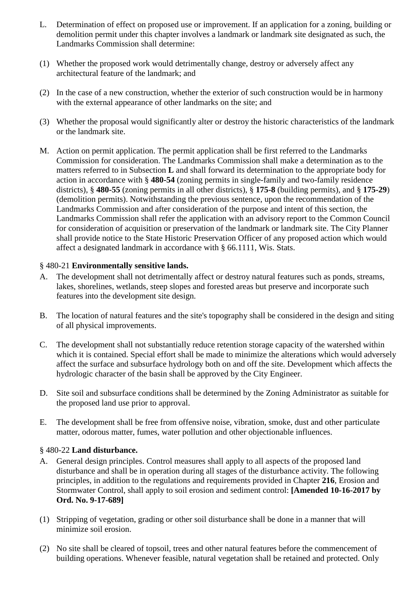- L. Determination of effect on proposed use or improvement. If an application for a zoning, building or demolition permit under this chapter involves a landmark or landmark site designated as such, the Landmarks Commission shall determine:
- (1) Whether the proposed work would detrimentally change, destroy or adversely affect any architectural feature of the landmark; and
- (2) In the case of a new construction, whether the exterior of such construction would be in harmony with the external appearance of other landmarks on the site; and
- (3) Whether the proposal would significantly alter or destroy the historic characteristics of the landmark or the landmark site.
- M. Action on permit application. The permit application shall be first referred to the Landmarks Commission for consideration. The Landmarks Commission shall make a determination as to the matters referred to in Subsection **L** and shall forward its determination to the appropriate body for action in accordance with § **480-54** (zoning permits in single-family and two-family residence districts), § **480-55** (zoning permits in all other districts), § **175-8** (building permits), and § **175-29**) (demolition permits). Notwithstanding the previous sentence, upon the recommendation of the Landmarks Commission and after consideration of the purpose and intent of this section, the Landmarks Commission shall refer the application with an advisory report to the Common Council for consideration of acquisition or preservation of the landmark or landmark site. The City Planner shall provide notice to the State Historic Preservation Officer of any proposed action which would affect a designated landmark in accordance with § 66.1111, Wis. Stats.

## § 480-21 **Environmentally sensitive lands.**

- A. The development shall not detrimentally affect or destroy natural features such as ponds, streams, lakes, shorelines, wetlands, steep slopes and forested areas but preserve and incorporate such features into the development site design.
- B. The location of natural features and the site's topography shall be considered in the design and siting of all physical improvements.
- C. The development shall not substantially reduce retention storage capacity of the watershed within which it is contained. Special effort shall be made to minimize the alterations which would adversely affect the surface and subsurface hydrology both on and off the site. Development which affects the hydrologic character of the basin shall be approved by the City Engineer.
- D. Site soil and subsurface conditions shall be determined by the Zoning Administrator as suitable for the proposed land use prior to approval.
- E. The development shall be free from offensive noise, vibration, smoke, dust and other particulate matter, odorous matter, fumes, water pollution and other objectionable influences.

## § 480-22 **Land disturbance.**

- A. General design principles. Control measures shall apply to all aspects of the proposed land disturbance and shall be in operation during all stages of the disturbance activity. The following principles, in addition to the regulations and requirements provided in Chapter **216**, Erosion and Stormwater Control, shall apply to soil erosion and sediment control: **[Amended 10-16-2017 by Ord. No. 9-17-689]**
- (1) Stripping of vegetation, grading or other soil disturbance shall be done in a manner that will minimize soil erosion.
- (2) No site shall be cleared of topsoil, trees and other natural features before the commencement of building operations. Whenever feasible, natural vegetation shall be retained and protected. Only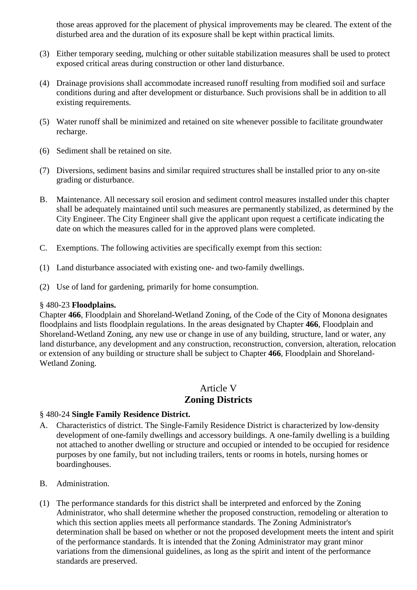those areas approved for the placement of physical improvements may be cleared. The extent of the disturbed area and the duration of its exposure shall be kept within practical limits.

- (3) Either temporary seeding, mulching or other suitable stabilization measures shall be used to protect exposed critical areas during construction or other land disturbance.
- (4) Drainage provisions shall accommodate increased runoff resulting from modified soil and surface conditions during and after development or disturbance. Such provisions shall be in addition to all existing requirements.
- (5) Water runoff shall be minimized and retained on site whenever possible to facilitate groundwater recharge.
- (6) Sediment shall be retained on site.
- (7) Diversions, sediment basins and similar required structures shall be installed prior to any on-site grading or disturbance.
- B. Maintenance. All necessary soil erosion and sediment control measures installed under this chapter shall be adequately maintained until such measures are permanently stabilized, as determined by the City Engineer. The City Engineer shall give the applicant upon request a certificate indicating the date on which the measures called for in the approved plans were completed.
- C. Exemptions. The following activities are specifically exempt from this section:
- (1) Land disturbance associated with existing one- and two-family dwellings.
- (2) Use of land for gardening, primarily for home consumption.

#### § 480-23 **Floodplains.**

Chapter **466**, Floodplain and Shoreland-Wetland Zoning, of the Code of the City of Monona designates floodplains and lists floodplain regulations. In the areas designated by Chapter **466**, Floodplain and Shoreland-Wetland Zoning, any new use or change in use of any building, structure, land or water, any land disturbance, any development and any construction, reconstruction, conversion, alteration, relocation or extension of any building or structure shall be subject to Chapter **466**, Floodplain and Shoreland-Wetland Zoning.

## Article V **Zoning Districts**

## § 480-24 **Single Family Residence District.**

- A. Characteristics of district. The Single-Family Residence District is characterized by low-density development of one-family dwellings and accessory buildings. A one-family dwelling is a building not attached to another dwelling or structure and occupied or intended to be occupied for residence purposes by one family, but not including trailers, tents or rooms in hotels, nursing homes or boardinghouses.
- B. Administration.
- (1) The performance standards for this district shall be interpreted and enforced by the Zoning Administrator, who shall determine whether the proposed construction, remodeling or alteration to which this section applies meets all performance standards. The Zoning Administrator's determination shall be based on whether or not the proposed development meets the intent and spirit of the performance standards. It is intended that the Zoning Administrator may grant minor variations from the dimensional guidelines, as long as the spirit and intent of the performance standards are preserved.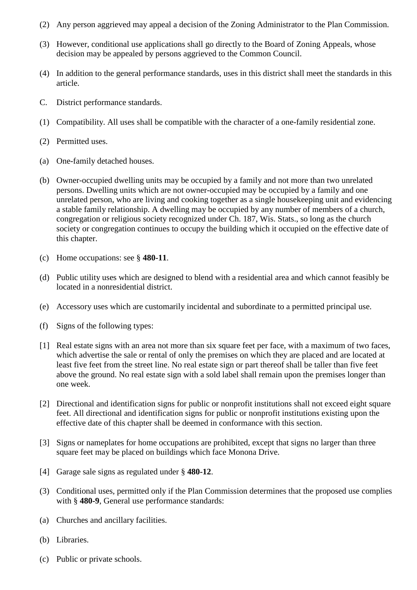- (2) Any person aggrieved may appeal a decision of the Zoning Administrator to the Plan Commission.
- (3) However, conditional use applications shall go directly to the Board of Zoning Appeals, whose decision may be appealed by persons aggrieved to the Common Council.
- (4) In addition to the general performance standards, uses in this district shall meet the standards in this article.
- C. District performance standards.
- (1) Compatibility. All uses shall be compatible with the character of a one-family residential zone.
- (2) Permitted uses.
- (a) One-family detached houses.
- (b) Owner-occupied dwelling units may be occupied by a family and not more than two unrelated persons. Dwelling units which are not owner-occupied may be occupied by a family and one unrelated person, who are living and cooking together as a single housekeeping unit and evidencing a stable family relationship. A dwelling may be occupied by any number of members of a church, congregation or religious society recognized under Ch. 187, Wis. Stats., so long as the church society or congregation continues to occupy the building which it occupied on the effective date of this chapter.
- (c) Home occupations: see § **480-11**.
- (d) Public utility uses which are designed to blend with a residential area and which cannot feasibly be located in a nonresidential district.
- (e) Accessory uses which are customarily incidental and subordinate to a permitted principal use.
- (f) Signs of the following types:
- [1] Real estate signs with an area not more than six square feet per face, with a maximum of two faces, which advertise the sale or rental of only the premises on which they are placed and are located at least five feet from the street line. No real estate sign or part thereof shall be taller than five feet above the ground. No real estate sign with a sold label shall remain upon the premises longer than one week.
- [2] Directional and identification signs for public or nonprofit institutions shall not exceed eight square feet. All directional and identification signs for public or nonprofit institutions existing upon the effective date of this chapter shall be deemed in conformance with this section.
- [3] Signs or nameplates for home occupations are prohibited, except that signs no larger than three square feet may be placed on buildings which face Monona Drive.
- [4] Garage sale signs as regulated under § **480-12**.
- (3) Conditional uses, permitted only if the Plan Commission determines that the proposed use complies with § **480-9**, General use performance standards:
- (a) Churches and ancillary facilities.
- (b) Libraries.
- (c) Public or private schools.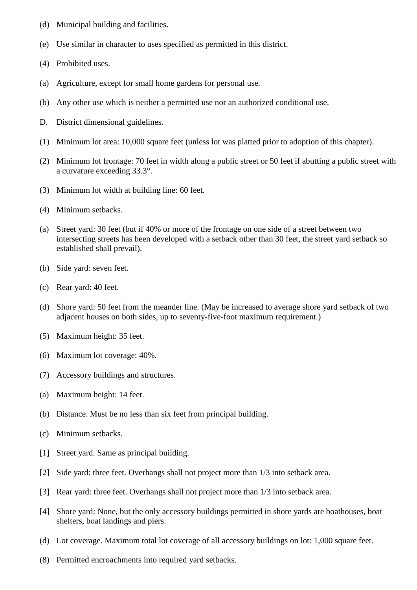- (d) Municipal building and facilities.
- (e) Use similar in character to uses specified as permitted in this district.
- (4) Prohibited uses.
- (a) Agriculture, except for small home gardens for personal use.
- (b) Any other use which is neither a permitted use nor an authorized conditional use.
- D. District dimensional guidelines.
- (1) Minimum lot area: 10,000 square feet (unless lot was platted prior to adoption of this chapter).
- (2) Minimum lot frontage: 70 feet in width along a public street or 50 feet if abutting a public street with a curvature exceeding 33.3°.
- (3) Minimum lot width at building line: 60 feet.
- (4) Minimum setbacks.
- (a) Street yard: 30 feet (but if 40% or more of the frontage on one side of a street between two intersecting streets has been developed with a setback other than 30 feet, the street yard setback so established shall prevail).
- (b) Side yard: seven feet.
- (c) Rear yard: 40 feet.
- (d) Shore yard: 50 feet from the meander line. (May be increased to average shore yard setback of two adjacent houses on both sides, up to seventy-five-foot maximum requirement.)
- (5) Maximum height: 35 feet.
- (6) Maximum lot coverage: 40%.
- (7) Accessory buildings and structures.
- (a) Maximum height: 14 feet.
- (b) Distance. Must be no less than six feet from principal building.
- (c) Minimum setbacks.
- [1] Street yard. Same as principal building.
- [2] Side yard: three feet. Overhangs shall not project more than 1/3 into setback area.
- [3] Rear yard: three feet. Overhangs shall not project more than 1/3 into setback area.
- [4] Shore yard: None, but the only accessory buildings permitted in shore yards are boathouses, boat shelters, boat landings and piers.
- (d) Lot coverage. Maximum total lot coverage of all accessory buildings on lot: 1,000 square feet.
- (8) Permitted encroachments into required yard setbacks.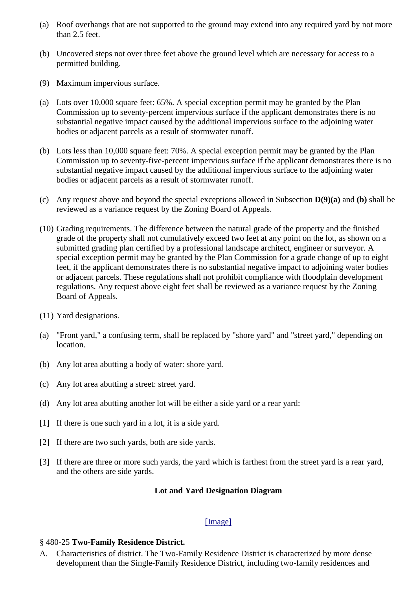- (a) Roof overhangs that are not supported to the ground may extend into any required yard by not more than 2.5 feet.
- (b) Uncovered steps not over three feet above the ground level which are necessary for access to a permitted building.
- (9) Maximum impervious surface.
- (a) Lots over 10,000 square feet: 65%. A special exception permit may be granted by the Plan Commission up to seventy-percent impervious surface if the applicant demonstrates there is no substantial negative impact caused by the additional impervious surface to the adjoining water bodies or adjacent parcels as a result of stormwater runoff.
- (b) Lots less than 10,000 square feet: 70%. A special exception permit may be granted by the Plan Commission up to seventy-five-percent impervious surface if the applicant demonstrates there is no substantial negative impact caused by the additional impervious surface to the adjoining water bodies or adjacent parcels as a result of stormwater runoff.
- (c) Any request above and beyond the special exceptions allowed in Subsection **D(9)(a)** and **(b)** shall be reviewed as a variance request by the Zoning Board of Appeals.
- (10) Grading requirements. The difference between the natural grade of the property and the finished grade of the property shall not cumulatively exceed two feet at any point on the lot, as shown on a submitted grading plan certified by a professional landscape architect, engineer or surveyor. A special exception permit may be granted by the Plan Commission for a grade change of up to eight feet, if the applicant demonstrates there is no substantial negative impact to adjoining water bodies or adjacent parcels. These regulations shall not prohibit compliance with floodplain development regulations. Any request above eight feet shall be reviewed as a variance request by the Zoning Board of Appeals.
- (11) Yard designations.
- (a) "Front yard," a confusing term, shall be replaced by "shore yard" and "street yard," depending on location.
- (b) Any lot area abutting a body of water: shore yard.
- (c) Any lot area abutting a street: street yard.
- (d) Any lot area abutting another lot will be either a side yard or a rear yard:
- [1] If there is one such yard in a lot, it is a side yard.
- [2] If there are two such yards, both are side yards.
- [3] If there are three or more such yards, the yard which is farthest from the street yard is a rear yard, and the others are side yards.

#### **Lot and Yard Designation Diagram**

#### [\[Image\]](http://ecode360.com/attachment/MO3595/MO3595-480%20Diagram%201.tif.png)

#### § 480-25 **Two-Family Residence District.**

A. Characteristics of district. The Two-Family Residence District is characterized by more dense development than the Single-Family Residence District, including two-family residences and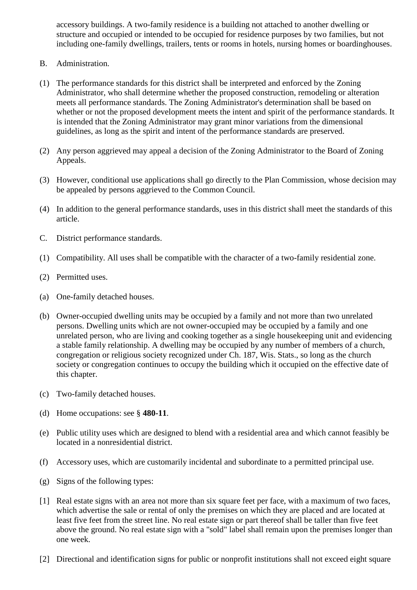accessory buildings. A two-family residence is a building not attached to another dwelling or structure and occupied or intended to be occupied for residence purposes by two families, but not including one-family dwellings, trailers, tents or rooms in hotels, nursing homes or boardinghouses.

- B. Administration.
- (1) The performance standards for this district shall be interpreted and enforced by the Zoning Administrator, who shall determine whether the proposed construction, remodeling or alteration meets all performance standards. The Zoning Administrator's determination shall be based on whether or not the proposed development meets the intent and spirit of the performance standards. It is intended that the Zoning Administrator may grant minor variations from the dimensional guidelines, as long as the spirit and intent of the performance standards are preserved.
- (2) Any person aggrieved may appeal a decision of the Zoning Administrator to the Board of Zoning Appeals.
- (3) However, conditional use applications shall go directly to the Plan Commission, whose decision may be appealed by persons aggrieved to the Common Council.
- (4) In addition to the general performance standards, uses in this district shall meet the standards of this article.
- C. District performance standards.
- (1) Compatibility. All uses shall be compatible with the character of a two-family residential zone.
- (2) Permitted uses.
- (a) One-family detached houses.
- (b) Owner-occupied dwelling units may be occupied by a family and not more than two unrelated persons. Dwelling units which are not owner-occupied may be occupied by a family and one unrelated person, who are living and cooking together as a single housekeeping unit and evidencing a stable family relationship. A dwelling may be occupied by any number of members of a church, congregation or religious society recognized under Ch. 187, Wis. Stats., so long as the church society or congregation continues to occupy the building which it occupied on the effective date of this chapter.
- (c) Two-family detached houses.
- (d) Home occupations: see § **480-11**.
- (e) Public utility uses which are designed to blend with a residential area and which cannot feasibly be located in a nonresidential district.
- (f) Accessory uses, which are customarily incidental and subordinate to a permitted principal use.
- (g) Signs of the following types:
- [1] Real estate signs with an area not more than six square feet per face, with a maximum of two faces, which advertise the sale or rental of only the premises on which they are placed and are located at least five feet from the street line. No real estate sign or part thereof shall be taller than five feet above the ground. No real estate sign with a "sold" label shall remain upon the premises longer than one week.
- [2] Directional and identification signs for public or nonprofit institutions shall not exceed eight square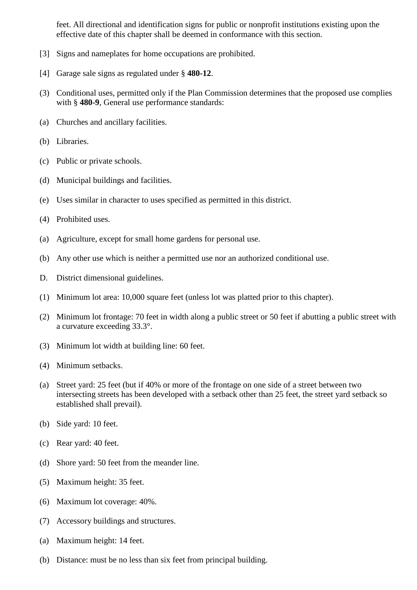feet. All directional and identification signs for public or nonprofit institutions existing upon the effective date of this chapter shall be deemed in conformance with this section.

- [3] Signs and nameplates for home occupations are prohibited.
- [4] Garage sale signs as regulated under § **480-12**.
- (3) Conditional uses, permitted only if the Plan Commission determines that the proposed use complies with § **480-9**, General use performance standards:
- (a) Churches and ancillary facilities.
- (b) Libraries.
- (c) Public or private schools.
- (d) Municipal buildings and facilities.
- (e) Uses similar in character to uses specified as permitted in this district.
- (4) Prohibited uses.
- (a) Agriculture, except for small home gardens for personal use.
- (b) Any other use which is neither a permitted use nor an authorized conditional use.
- D. District dimensional guidelines.
- (1) Minimum lot area: 10,000 square feet (unless lot was platted prior to this chapter).
- (2) Minimum lot frontage: 70 feet in width along a public street or 50 feet if abutting a public street with a curvature exceeding 33.3°.
- (3) Minimum lot width at building line: 60 feet.
- (4) Minimum setbacks.
- (a) Street yard: 25 feet (but if 40% or more of the frontage on one side of a street between two intersecting streets has been developed with a setback other than 25 feet, the street yard setback so established shall prevail).
- (b) Side yard: 10 feet.
- (c) Rear yard: 40 feet.
- (d) Shore yard: 50 feet from the meander line.
- (5) Maximum height: 35 feet.
- (6) Maximum lot coverage: 40%.
- (7) Accessory buildings and structures.
- (a) Maximum height: 14 feet.
- (b) Distance: must be no less than six feet from principal building.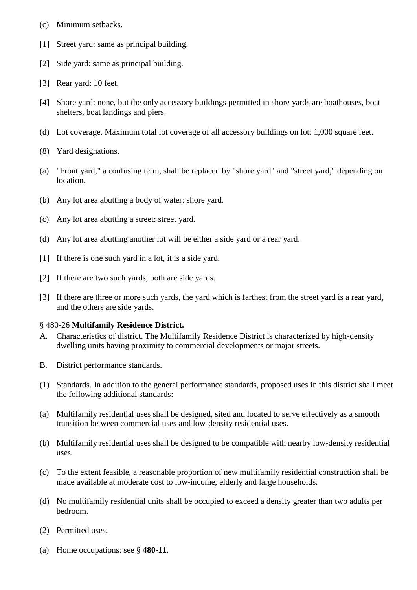- (c) Minimum setbacks.
- [1] Street yard: same as principal building.
- [2] Side yard: same as principal building.
- [3] Rear yard: 10 feet.
- [4] Shore yard: none, but the only accessory buildings permitted in shore yards are boathouses, boat shelters, boat landings and piers.
- (d) Lot coverage. Maximum total lot coverage of all accessory buildings on lot: 1,000 square feet.
- (8) Yard designations.
- (a) "Front yard," a confusing term, shall be replaced by "shore yard" and "street yard," depending on location.
- (b) Any lot area abutting a body of water: shore yard.
- (c) Any lot area abutting a street: street yard.
- (d) Any lot area abutting another lot will be either a side yard or a rear yard.
- [1] If there is one such yard in a lot, it is a side yard.
- [2] If there are two such yards, both are side yards.
- [3] If there are three or more such yards, the yard which is farthest from the street yard is a rear yard, and the others are side yards.

#### § 480-26 **Multifamily Residence District.**

- A. Characteristics of district. The Multifamily Residence District is characterized by high-density dwelling units having proximity to commercial developments or major streets.
- B. District performance standards.
- (1) Standards. In addition to the general performance standards, proposed uses in this district shall meet the following additional standards:
- (a) Multifamily residential uses shall be designed, sited and located to serve effectively as a smooth transition between commercial uses and low-density residential uses.
- (b) Multifamily residential uses shall be designed to be compatible with nearby low-density residential uses.
- (c) To the extent feasible, a reasonable proportion of new multifamily residential construction shall be made available at moderate cost to low-income, elderly and large households.
- (d) No multifamily residential units shall be occupied to exceed a density greater than two adults per bedroom.
- (2) Permitted uses.
- (a) Home occupations: see § **480-11**.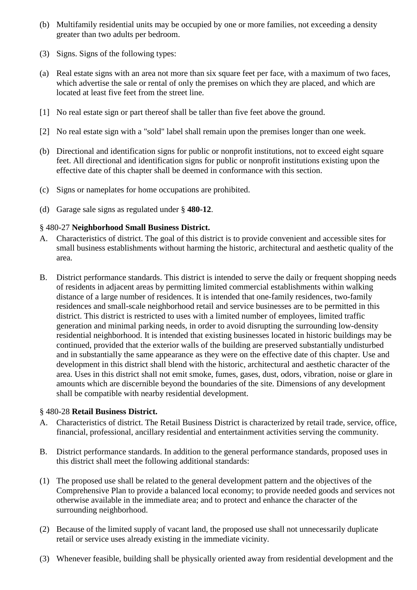- (b) Multifamily residential units may be occupied by one or more families, not exceeding a density greater than two adults per bedroom.
- (3) Signs. Signs of the following types:
- (a) Real estate signs with an area not more than six square feet per face, with a maximum of two faces, which advertise the sale or rental of only the premises on which they are placed, and which are located at least five feet from the street line.
- [1] No real estate sign or part thereof shall be taller than five feet above the ground.
- [2] No real estate sign with a "sold" label shall remain upon the premises longer than one week.
- (b) Directional and identification signs for public or nonprofit institutions, not to exceed eight square feet. All directional and identification signs for public or nonprofit institutions existing upon the effective date of this chapter shall be deemed in conformance with this section.
- (c) Signs or nameplates for home occupations are prohibited.
- (d) Garage sale signs as regulated under § **480-12**.

## § 480-27 **Neighborhood Small Business District.**

- A. Characteristics of district. The goal of this district is to provide convenient and accessible sites for small business establishments without harming the historic, architectural and aesthetic quality of the area.
- B. District performance standards. This district is intended to serve the daily or frequent shopping needs of residents in adjacent areas by permitting limited commercial establishments within walking distance of a large number of residences. It is intended that one-family residences, two-family residences and small-scale neighborhood retail and service businesses are to be permitted in this district. This district is restricted to uses with a limited number of employees, limited traffic generation and minimal parking needs, in order to avoid disrupting the surrounding low-density residential neighborhood. It is intended that existing businesses located in historic buildings may be continued, provided that the exterior walls of the building are preserved substantially undisturbed and in substantially the same appearance as they were on the effective date of this chapter. Use and development in this district shall blend with the historic, architectural and aesthetic character of the area. Uses in this district shall not emit smoke, fumes, gases, dust, odors, vibration, noise or glare in amounts which are discernible beyond the boundaries of the site. Dimensions of any development shall be compatible with nearby residential development.

## § 480-28 **Retail Business District.**

- A. Characteristics of district. The Retail Business District is characterized by retail trade, service, office, financial, professional, ancillary residential and entertainment activities serving the community.
- B. District performance standards. In addition to the general performance standards, proposed uses in this district shall meet the following additional standards:
- (1) The proposed use shall be related to the general development pattern and the objectives of the Comprehensive Plan to provide a balanced local economy; to provide needed goods and services not otherwise available in the immediate area; and to protect and enhance the character of the surrounding neighborhood.
- (2) Because of the limited supply of vacant land, the proposed use shall not unnecessarily duplicate retail or service uses already existing in the immediate vicinity.
- (3) Whenever feasible, building shall be physically oriented away from residential development and the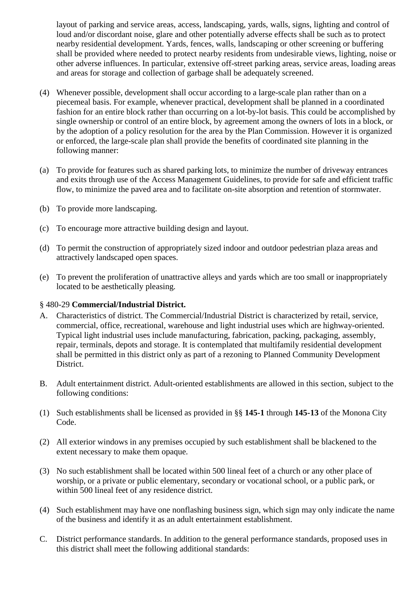layout of parking and service areas, access, landscaping, yards, walls, signs, lighting and control of loud and/or discordant noise, glare and other potentially adverse effects shall be such as to protect nearby residential development. Yards, fences, walls, landscaping or other screening or buffering shall be provided where needed to protect nearby residents from undesirable views, lighting, noise or other adverse influences. In particular, extensive off-street parking areas, service areas, loading areas and areas for storage and collection of garbage shall be adequately screened.

- (4) Whenever possible, development shall occur according to a large-scale plan rather than on a piecemeal basis. For example, whenever practical, development shall be planned in a coordinated fashion for an entire block rather than occurring on a lot-by-lot basis. This could be accomplished by single ownership or control of an entire block, by agreement among the owners of lots in a block, or by the adoption of a policy resolution for the area by the Plan Commission. However it is organized or enforced, the large-scale plan shall provide the benefits of coordinated site planning in the following manner:
- (a) To provide for features such as shared parking lots, to minimize the number of driveway entrances and exits through use of the Access Management Guidelines, to provide for safe and efficient traffic flow, to minimize the paved area and to facilitate on-site absorption and retention of stormwater.
- (b) To provide more landscaping.
- (c) To encourage more attractive building design and layout.
- (d) To permit the construction of appropriately sized indoor and outdoor pedestrian plaza areas and attractively landscaped open spaces.
- (e) To prevent the proliferation of unattractive alleys and yards which are too small or inappropriately located to be aesthetically pleasing.

## § 480-29 **Commercial/Industrial District.**

- A. Characteristics of district. The Commercial/Industrial District is characterized by retail, service, commercial, office, recreational, warehouse and light industrial uses which are highway-oriented. Typical light industrial uses include manufacturing, fabrication, packing, packaging, assembly, repair, terminals, depots and storage. It is contemplated that multifamily residential development shall be permitted in this district only as part of a rezoning to Planned Community Development District.
- B. Adult entertainment district. Adult-oriented establishments are allowed in this section, subject to the following conditions:
- (1) Such establishments shall be licensed as provided in §§ **145-1** through **145-13** of the Monona City Code.
- (2) All exterior windows in any premises occupied by such establishment shall be blackened to the extent necessary to make them opaque.
- (3) No such establishment shall be located within 500 lineal feet of a church or any other place of worship, or a private or public elementary, secondary or vocational school, or a public park, or within 500 lineal feet of any residence district.
- (4) Such establishment may have one nonflashing business sign, which sign may only indicate the name of the business and identify it as an adult entertainment establishment.
- C. District performance standards. In addition to the general performance standards, proposed uses in this district shall meet the following additional standards: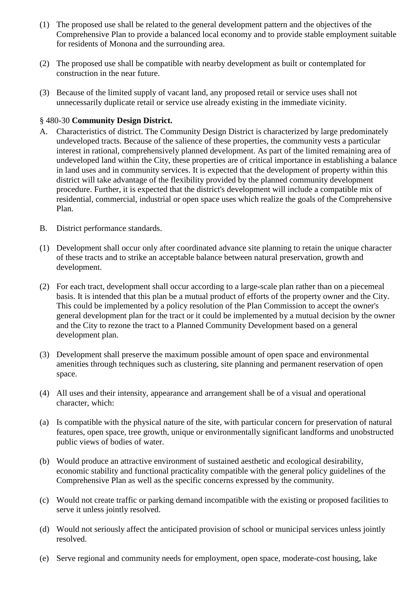- (1) The proposed use shall be related to the general development pattern and the objectives of the Comprehensive Plan to provide a balanced local economy and to provide stable employment suitable for residents of Monona and the surrounding area.
- (2) The proposed use shall be compatible with nearby development as built or contemplated for construction in the near future.
- (3) Because of the limited supply of vacant land, any proposed retail or service uses shall not unnecessarily duplicate retail or service use already existing in the immediate vicinity.

## § 480-30 **Community Design District.**

- A. Characteristics of district. The Community Design District is characterized by large predominately undeveloped tracts. Because of the salience of these properties, the community vests a particular interest in rational, comprehensively planned development. As part of the limited remaining area of undeveloped land within the City, these properties are of critical importance in establishing a balance in land uses and in community services. It is expected that the development of property within this district will take advantage of the flexibility provided by the planned community development procedure. Further, it is expected that the district's development will include a compatible mix of residential, commercial, industrial or open space uses which realize the goals of the Comprehensive Plan.
- B. District performance standards.
- (1) Development shall occur only after coordinated advance site planning to retain the unique character of these tracts and to strike an acceptable balance between natural preservation, growth and development.
- (2) For each tract, development shall occur according to a large-scale plan rather than on a piecemeal basis. It is intended that this plan be a mutual product of efforts of the property owner and the City. This could be implemented by a policy resolution of the Plan Commission to accept the owner's general development plan for the tract or it could be implemented by a mutual decision by the owner and the City to rezone the tract to a Planned Community Development based on a general development plan.
- (3) Development shall preserve the maximum possible amount of open space and environmental amenities through techniques such as clustering, site planning and permanent reservation of open space.
- (4) All uses and their intensity, appearance and arrangement shall be of a visual and operational character, which:
- (a) Is compatible with the physical nature of the site, with particular concern for preservation of natural features, open space, tree growth, unique or environmentally significant landforms and unobstructed public views of bodies of water.
- (b) Would produce an attractive environment of sustained aesthetic and ecological desirability, economic stability and functional practicality compatible with the general policy guidelines of the Comprehensive Plan as well as the specific concerns expressed by the community.
- (c) Would not create traffic or parking demand incompatible with the existing or proposed facilities to serve it unless jointly resolved.
- (d) Would not seriously affect the anticipated provision of school or municipal services unless jointly resolved.
- (e) Serve regional and community needs for employment, open space, moderate-cost housing, lake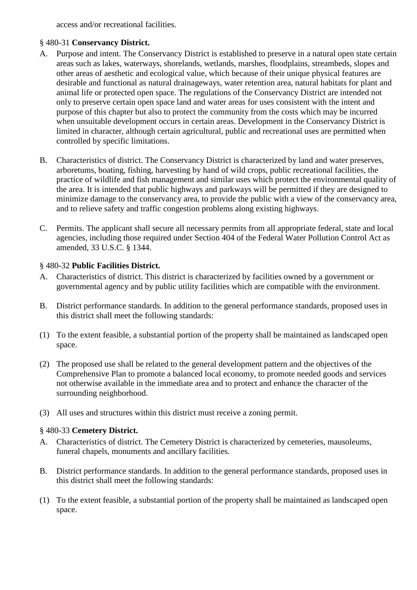access and/or recreational facilities.

## § 480-31 **Conservancy District.**

- A. Purpose and intent. The Conservancy District is established to preserve in a natural open state certain areas such as lakes, waterways, shorelands, wetlands, marshes, floodplains, streambeds, slopes and other areas of aesthetic and ecological value, which because of their unique physical features are desirable and functional as natural drainageways, water retention area, natural habitats for plant and animal life or protected open space. The regulations of the Conservancy District are intended not only to preserve certain open space land and water areas for uses consistent with the intent and purpose of this chapter but also to protect the community from the costs which may be incurred when unsuitable development occurs in certain areas. Development in the Conservancy District is limited in character, although certain agricultural, public and recreational uses are permitted when controlled by specific limitations.
- B. Characteristics of district. The Conservancy District is characterized by land and water preserves, arboretums, boating, fishing, harvesting by hand of wild crops, public recreational facilities, the practice of wildlife and fish management and similar uses which protect the environmental quality of the area. It is intended that public highways and parkways will be permitted if they are designed to minimize damage to the conservancy area, to provide the public with a view of the conservancy area, and to relieve safety and traffic congestion problems along existing highways.
- C. Permits. The applicant shall secure all necessary permits from all appropriate federal, state and local agencies, including those required under Section 404 of the Federal Water Pollution Control Act as amended, 33 U.S.C. § 1344.

## § 480-32 **Public Facilities District.**

- A. Characteristics of district. This district is characterized by facilities owned by a government or governmental agency and by public utility facilities which are compatible with the environment.
- B. District performance standards. In addition to the general performance standards, proposed uses in this district shall meet the following standards:
- (1) To the extent feasible, a substantial portion of the property shall be maintained as landscaped open space.
- (2) The proposed use shall be related to the general development pattern and the objectives of the Comprehensive Plan to promote a balanced local economy, to promote needed goods and services not otherwise available in the immediate area and to protect and enhance the character of the surrounding neighborhood.
- (3) All uses and structures within this district must receive a zoning permit.

## § 480-33 **Cemetery District.**

- A. Characteristics of district. The Cemetery District is characterized by cemeteries, mausoleums, funeral chapels, monuments and ancillary facilities.
- B. District performance standards. In addition to the general performance standards, proposed uses in this district shall meet the following standards:
- (1) To the extent feasible, a substantial portion of the property shall be maintained as landscaped open space.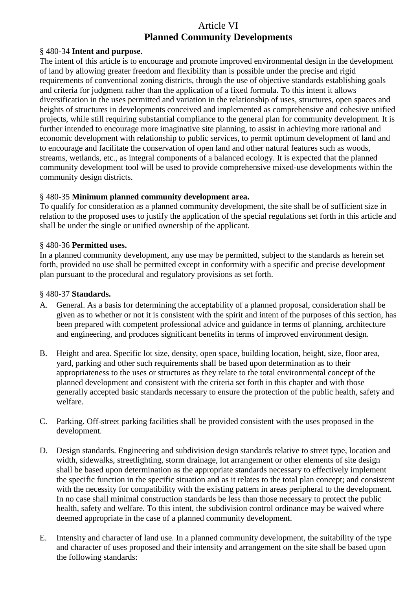# Article VI **Planned Community Developments**

## § 480-34 **Intent and purpose.**

The intent of this article is to encourage and promote improved environmental design in the development of land by allowing greater freedom and flexibility than is possible under the precise and rigid requirements of conventional zoning districts, through the use of objective standards establishing goals and criteria for judgment rather than the application of a fixed formula. To this intent it allows diversification in the uses permitted and variation in the relationship of uses, structures, open spaces and heights of structures in developments conceived and implemented as comprehensive and cohesive unified projects, while still requiring substantial compliance to the general plan for community development. It is further intended to encourage more imaginative site planning, to assist in achieving more rational and economic development with relationship to public services, to permit optimum development of land and to encourage and facilitate the conservation of open land and other natural features such as woods, streams, wetlands, etc., as integral components of a balanced ecology. It is expected that the planned community development tool will be used to provide comprehensive mixed-use developments within the community design districts.

## § 480-35 **Minimum planned community development area.**

To qualify for consideration as a planned community development, the site shall be of sufficient size in relation to the proposed uses to justify the application of the special regulations set forth in this article and shall be under the single or unified ownership of the applicant.

## § 480-36 **Permitted uses.**

In a planned community development, any use may be permitted, subject to the standards as herein set forth, provided no use shall be permitted except in conformity with a specific and precise development plan pursuant to the procedural and regulatory provisions as set forth.

#### § 480-37 **Standards.**

- A. General. As a basis for determining the acceptability of a planned proposal, consideration shall be given as to whether or not it is consistent with the spirit and intent of the purposes of this section, has been prepared with competent professional advice and guidance in terms of planning, architecture and engineering, and produces significant benefits in terms of improved environment design.
- B. Height and area. Specific lot size, density, open space, building location, height, size, floor area, yard, parking and other such requirements shall be based upon determination as to their appropriateness to the uses or structures as they relate to the total environmental concept of the planned development and consistent with the criteria set forth in this chapter and with those generally accepted basic standards necessary to ensure the protection of the public health, safety and welfare.
- C. Parking. Off-street parking facilities shall be provided consistent with the uses proposed in the development.
- D. Design standards. Engineering and subdivision design standards relative to street type, location and width, sidewalks, streetlighting, storm drainage, lot arrangement or other elements of site design shall be based upon determination as the appropriate standards necessary to effectively implement the specific function in the specific situation and as it relates to the total plan concept; and consistent with the necessity for compatibility with the existing pattern in areas peripheral to the development. In no case shall minimal construction standards be less than those necessary to protect the public health, safety and welfare. To this intent, the subdivision control ordinance may be waived where deemed appropriate in the case of a planned community development.
- E. Intensity and character of land use. In a planned community development, the suitability of the type and character of uses proposed and their intensity and arrangement on the site shall be based upon the following standards: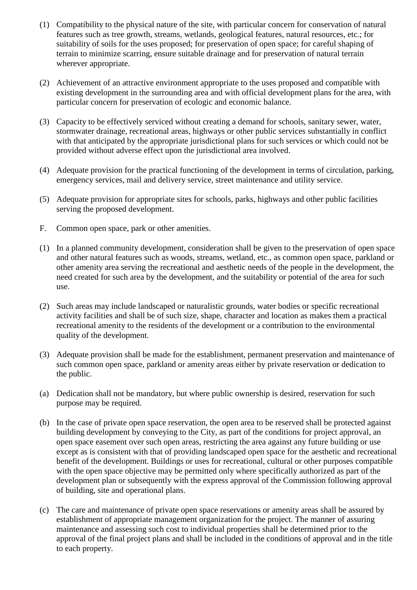- (1) Compatibility to the physical nature of the site, with particular concern for conservation of natural features such as tree growth, streams, wetlands, geological features, natural resources, etc.; for suitability of soils for the uses proposed; for preservation of open space; for careful shaping of terrain to minimize scarring, ensure suitable drainage and for preservation of natural terrain wherever appropriate.
- (2) Achievement of an attractive environment appropriate to the uses proposed and compatible with existing development in the surrounding area and with official development plans for the area, with particular concern for preservation of ecologic and economic balance.
- (3) Capacity to be effectively serviced without creating a demand for schools, sanitary sewer, water, stormwater drainage, recreational areas, highways or other public services substantially in conflict with that anticipated by the appropriate jurisdictional plans for such services or which could not be provided without adverse effect upon the jurisdictional area involved.
- (4) Adequate provision for the practical functioning of the development in terms of circulation, parking, emergency services, mail and delivery service, street maintenance and utility service.
- (5) Adequate provision for appropriate sites for schools, parks, highways and other public facilities serving the proposed development.
- F. Common open space, park or other amenities.
- (1) In a planned community development, consideration shall be given to the preservation of open space and other natural features such as woods, streams, wetland, etc., as common open space, parkland or other amenity area serving the recreational and aesthetic needs of the people in the development, the need created for such area by the development, and the suitability or potential of the area for such use.
- (2) Such areas may include landscaped or naturalistic grounds, water bodies or specific recreational activity facilities and shall be of such size, shape, character and location as makes them a practical recreational amenity to the residents of the development or a contribution to the environmental quality of the development.
- (3) Adequate provision shall be made for the establishment, permanent preservation and maintenance of such common open space, parkland or amenity areas either by private reservation or dedication to the public.
- (a) Dedication shall not be mandatory, but where public ownership is desired, reservation for such purpose may be required.
- (b) In the case of private open space reservation, the open area to be reserved shall be protected against building development by conveying to the City, as part of the conditions for project approval, an open space easement over such open areas, restricting the area against any future building or use except as is consistent with that of providing landscaped open space for the aesthetic and recreational benefit of the development. Buildings or uses for recreational, cultural or other purposes compatible with the open space objective may be permitted only where specifically authorized as part of the development plan or subsequently with the express approval of the Commission following approval of building, site and operational plans.
- (c) The care and maintenance of private open space reservations or amenity areas shall be assured by establishment of appropriate management organization for the project. The manner of assuring maintenance and assessing such cost to individual properties shall be determined prior to the approval of the final project plans and shall be included in the conditions of approval and in the title to each property.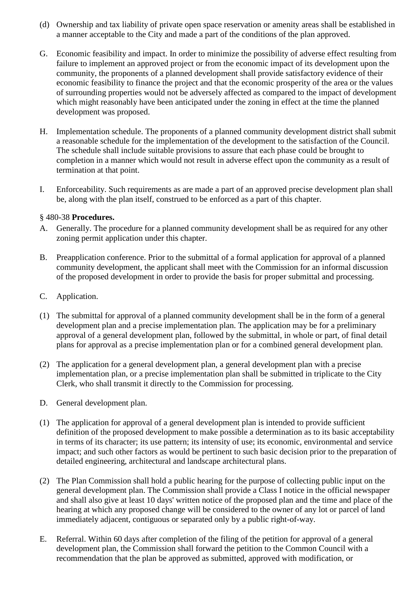- (d) Ownership and tax liability of private open space reservation or amenity areas shall be established in a manner acceptable to the City and made a part of the conditions of the plan approved.
- G. Economic feasibility and impact. In order to minimize the possibility of adverse effect resulting from failure to implement an approved project or from the economic impact of its development upon the community, the proponents of a planned development shall provide satisfactory evidence of their economic feasibility to finance the project and that the economic prosperity of the area or the values of surrounding properties would not be adversely affected as compared to the impact of development which might reasonably have been anticipated under the zoning in effect at the time the planned development was proposed.
- H. Implementation schedule. The proponents of a planned community development district shall submit a reasonable schedule for the implementation of the development to the satisfaction of the Council. The schedule shall include suitable provisions to assure that each phase could be brought to completion in a manner which would not result in adverse effect upon the community as a result of termination at that point.
- I. Enforceability. Such requirements as are made a part of an approved precise development plan shall be, along with the plan itself, construed to be enforced as a part of this chapter.

## § 480-38 **Procedures.**

- A. Generally. The procedure for a planned community development shall be as required for any other zoning permit application under this chapter.
- B. Preapplication conference. Prior to the submittal of a formal application for approval of a planned community development, the applicant shall meet with the Commission for an informal discussion of the proposed development in order to provide the basis for proper submittal and processing.
- C. Application.
- (1) The submittal for approval of a planned community development shall be in the form of a general development plan and a precise implementation plan. The application may be for a preliminary approval of a general development plan, followed by the submittal, in whole or part, of final detail plans for approval as a precise implementation plan or for a combined general development plan.
- (2) The application for a general development plan, a general development plan with a precise implementation plan, or a precise implementation plan shall be submitted in triplicate to the City Clerk, who shall transmit it directly to the Commission for processing.
- D. General development plan.
- (1) The application for approval of a general development plan is intended to provide sufficient definition of the proposed development to make possible a determination as to its basic acceptability in terms of its character; its use pattern; its intensity of use; its economic, environmental and service impact; and such other factors as would be pertinent to such basic decision prior to the preparation of detailed engineering, architectural and landscape architectural plans.
- (2) The Plan Commission shall hold a public hearing for the purpose of collecting public input on the general development plan. The Commission shall provide a Class I notice in the official newspaper and shall also give at least 10 days' written notice of the proposed plan and the time and place of the hearing at which any proposed change will be considered to the owner of any lot or parcel of land immediately adjacent, contiguous or separated only by a public right-of-way.
- E. Referral. Within 60 days after completion of the filing of the petition for approval of a general development plan, the Commission shall forward the petition to the Common Council with a recommendation that the plan be approved as submitted, approved with modification, or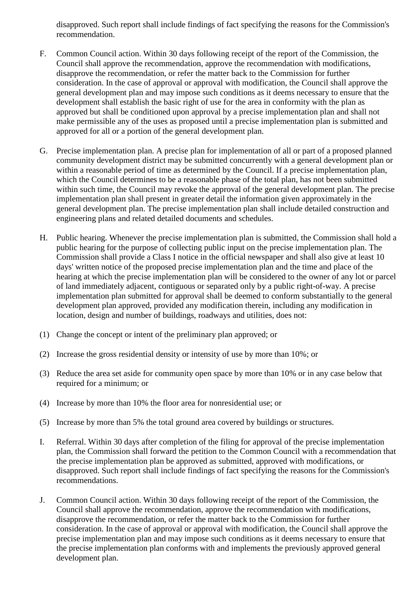disapproved. Such report shall include findings of fact specifying the reasons for the Commission's recommendation.

- F. Common Council action. Within 30 days following receipt of the report of the Commission, the Council shall approve the recommendation, approve the recommendation with modifications, disapprove the recommendation, or refer the matter back to the Commission for further consideration. In the case of approval or approval with modification, the Council shall approve the general development plan and may impose such conditions as it deems necessary to ensure that the development shall establish the basic right of use for the area in conformity with the plan as approved but shall be conditioned upon approval by a precise implementation plan and shall not make permissible any of the uses as proposed until a precise implementation plan is submitted and approved for all or a portion of the general development plan.
- G. Precise implementation plan. A precise plan for implementation of all or part of a proposed planned community development district may be submitted concurrently with a general development plan or within a reasonable period of time as determined by the Council. If a precise implementation plan, which the Council determines to be a reasonable phase of the total plan, has not been submitted within such time, the Council may revoke the approval of the general development plan. The precise implementation plan shall present in greater detail the information given approximately in the general development plan. The precise implementation plan shall include detailed construction and engineering plans and related detailed documents and schedules.
- H. Public hearing. Whenever the precise implementation plan is submitted, the Commission shall hold a public hearing for the purpose of collecting public input on the precise implementation plan. The Commission shall provide a Class I notice in the official newspaper and shall also give at least 10 days' written notice of the proposed precise implementation plan and the time and place of the hearing at which the precise implementation plan will be considered to the owner of any lot or parcel of land immediately adjacent, contiguous or separated only by a public right-of-way. A precise implementation plan submitted for approval shall be deemed to conform substantially to the general development plan approved, provided any modification therein, including any modification in location, design and number of buildings, roadways and utilities, does not:
- (1) Change the concept or intent of the preliminary plan approved; or
- (2) Increase the gross residential density or intensity of use by more than 10%; or
- (3) Reduce the area set aside for community open space by more than 10% or in any case below that required for a minimum; or
- (4) Increase by more than 10% the floor area for nonresidential use; or
- (5) Increase by more than 5% the total ground area covered by buildings or structures.
- I. Referral. Within 30 days after completion of the filing for approval of the precise implementation plan, the Commission shall forward the petition to the Common Council with a recommendation that the precise implementation plan be approved as submitted, approved with modifications, or disapproved. Such report shall include findings of fact specifying the reasons for the Commission's recommendations.
- J. Common Council action. Within 30 days following receipt of the report of the Commission, the Council shall approve the recommendation, approve the recommendation with modifications, disapprove the recommendation, or refer the matter back to the Commission for further consideration. In the case of approval or approval with modification, the Council shall approve the precise implementation plan and may impose such conditions as it deems necessary to ensure that the precise implementation plan conforms with and implements the previously approved general development plan.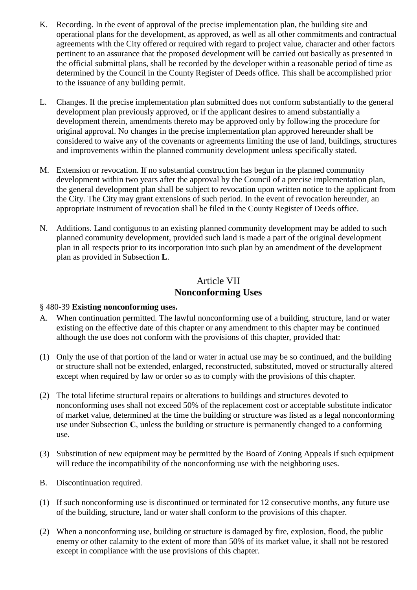- K. Recording. In the event of approval of the precise implementation plan, the building site and operational plans for the development, as approved, as well as all other commitments and contractual agreements with the City offered or required with regard to project value, character and other factors pertinent to an assurance that the proposed development will be carried out basically as presented in the official submittal plans, shall be recorded by the developer within a reasonable period of time as determined by the Council in the County Register of Deeds office. This shall be accomplished prior to the issuance of any building permit.
- L. Changes. If the precise implementation plan submitted does not conform substantially to the general development plan previously approved, or if the applicant desires to amend substantially a development therein, amendments thereto may be approved only by following the procedure for original approval. No changes in the precise implementation plan approved hereunder shall be considered to waive any of the covenants or agreements limiting the use of land, buildings, structures and improvements within the planned community development unless specifically stated.
- M. Extension or revocation. If no substantial construction has begun in the planned community development within two years after the approval by the Council of a precise implementation plan, the general development plan shall be subject to revocation upon written notice to the applicant from the City. The City may grant extensions of such period. In the event of revocation hereunder, an appropriate instrument of revocation shall be filed in the County Register of Deeds office.
- N. Additions. Land contiguous to an existing planned community development may be added to such planned community development, provided such land is made a part of the original development plan in all respects prior to its incorporation into such plan by an amendment of the development plan as provided in Subsection **L**.

# Article VII **Nonconforming Uses**

## § 480-39 **Existing nonconforming uses.**

- A. When continuation permitted. The lawful nonconforming use of a building, structure, land or water existing on the effective date of this chapter or any amendment to this chapter may be continued although the use does not conform with the provisions of this chapter, provided that:
- (1) Only the use of that portion of the land or water in actual use may be so continued, and the building or structure shall not be extended, enlarged, reconstructed, substituted, moved or structurally altered except when required by law or order so as to comply with the provisions of this chapter.
- (2) The total lifetime structural repairs or alterations to buildings and structures devoted to nonconforming uses shall not exceed 50% of the replacement cost or acceptable substitute indicator of market value, determined at the time the building or structure was listed as a legal nonconforming use under Subsection **C**, unless the building or structure is permanently changed to a conforming use.
- (3) Substitution of new equipment may be permitted by the Board of Zoning Appeals if such equipment will reduce the incompatibility of the nonconforming use with the neighboring uses.
- B. Discontinuation required.
- (1) If such nonconforming use is discontinued or terminated for 12 consecutive months, any future use of the building, structure, land or water shall conform to the provisions of this chapter.
- (2) When a nonconforming use, building or structure is damaged by fire, explosion, flood, the public enemy or other calamity to the extent of more than 50% of its market value, it shall not be restored except in compliance with the use provisions of this chapter.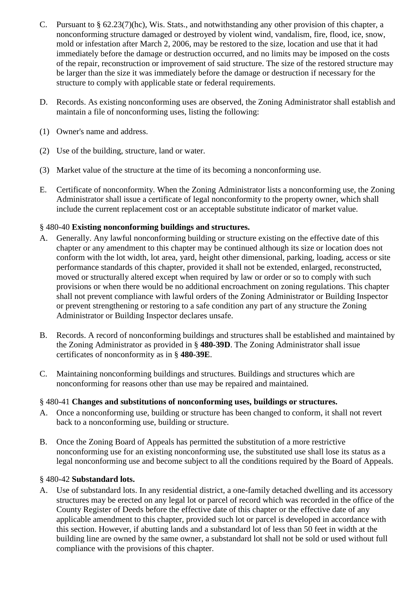- C. Pursuant to § 62.23(7)(hc), Wis. Stats., and notwithstanding any other provision of this chapter, a nonconforming structure damaged or destroyed by violent wind, vandalism, fire, flood, ice, snow, mold or infestation after March 2, 2006, may be restored to the size, location and use that it had immediately before the damage or destruction occurred, and no limits may be imposed on the costs of the repair, reconstruction or improvement of said structure. The size of the restored structure may be larger than the size it was immediately before the damage or destruction if necessary for the structure to comply with applicable state or federal requirements.
- D. Records. As existing nonconforming uses are observed, the Zoning Administrator shall establish and maintain a file of nonconforming uses, listing the following:
- (1) Owner's name and address.
- (2) Use of the building, structure, land or water.
- (3) Market value of the structure at the time of its becoming a nonconforming use.
- E. Certificate of nonconformity. When the Zoning Administrator lists a nonconforming use, the Zoning Administrator shall issue a certificate of legal nonconformity to the property owner, which shall include the current replacement cost or an acceptable substitute indicator of market value.

## § 480-40 **Existing nonconforming buildings and structures.**

- A. Generally. Any lawful nonconforming building or structure existing on the effective date of this chapter or any amendment to this chapter may be continued although its size or location does not conform with the lot width, lot area, yard, height other dimensional, parking, loading, access or site performance standards of this chapter, provided it shall not be extended, enlarged, reconstructed, moved or structurally altered except when required by law or order or so to comply with such provisions or when there would be no additional encroachment on zoning regulations. This chapter shall not prevent compliance with lawful orders of the Zoning Administrator or Building Inspector or prevent strengthening or restoring to a safe condition any part of any structure the Zoning Administrator or Building Inspector declares unsafe.
- B. Records. A record of nonconforming buildings and structures shall be established and maintained by the Zoning Administrator as provided in § **480-39D**. The Zoning Administrator shall issue certificates of nonconformity as in § **480-39E**.
- C. Maintaining nonconforming buildings and structures. Buildings and structures which are nonconforming for reasons other than use may be repaired and maintained.

## § 480-41 **Changes and substitutions of nonconforming uses, buildings or structures.**

- A. Once a nonconforming use, building or structure has been changed to conform, it shall not revert back to a nonconforming use, building or structure.
- B. Once the Zoning Board of Appeals has permitted the substitution of a more restrictive nonconforming use for an existing nonconforming use, the substituted use shall lose its status as a legal nonconforming use and become subject to all the conditions required by the Board of Appeals.

## § 480-42 **Substandard lots.**

A. Use of substandard lots. In any residential district, a one-family detached dwelling and its accessory structures may be erected on any legal lot or parcel of record which was recorded in the office of the County Register of Deeds before the effective date of this chapter or the effective date of any applicable amendment to this chapter, provided such lot or parcel is developed in accordance with this section. However, if abutting lands and a substandard lot of less than 50 feet in width at the building line are owned by the same owner, a substandard lot shall not be sold or used without full compliance with the provisions of this chapter.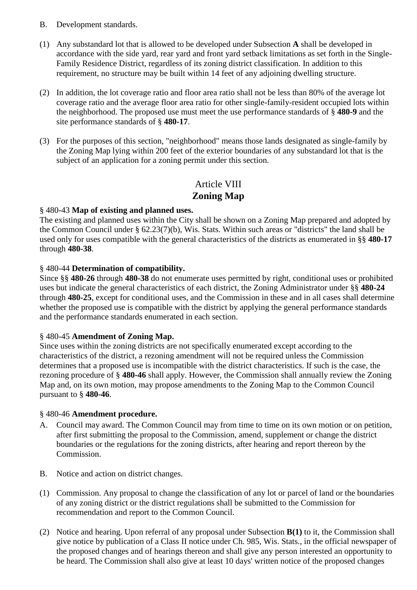- B. Development standards.
- (1) Any substandard lot that is allowed to be developed under Subsection **A** shall be developed in accordance with the side yard, rear yard and front yard setback limitations as set forth in the Single-Family Residence District, regardless of its zoning district classification. In addition to this requirement, no structure may be built within 14 feet of any adjoining dwelling structure.
- (2) In addition, the lot coverage ratio and floor area ratio shall not be less than 80% of the average lot coverage ratio and the average floor area ratio for other single-family-resident occupied lots within the neighborhood. The proposed use must meet the use performance standards of § **480-9** and the site performance standards of § **480-17**.
- (3) For the purposes of this section, "neighborhood" means those lands designated as single-family by the Zoning Map lying within 200 feet of the exterior boundaries of any substandard lot that is the subject of an application for a zoning permit under this section.

# Article VIII **Zoning Map**

## § 480-43 **Map of existing and planned uses.**

The existing and planned uses within the City shall be shown on a Zoning Map prepared and adopted by the Common Council under § 62.23(7)(b), Wis. Stats. Within such areas or "districts" the land shall be used only for uses compatible with the general characteristics of the districts as enumerated in §§ **480-17** through **480-38**.

## § 480-44 **Determination of compatibility.**

Since §§ **480-26** through **480-38** do not enumerate uses permitted by right, conditional uses or prohibited uses but indicate the general characteristics of each district, the Zoning Administrator under §§ **480-24** through **480-25**, except for conditional uses, and the Commission in these and in all cases shall determine whether the proposed use is compatible with the district by applying the general performance standards and the performance standards enumerated in each section.

#### § 480-45 **Amendment of Zoning Map.**

Since uses within the zoning districts are not specifically enumerated except according to the characteristics of the district, a rezoning amendment will not be required unless the Commission determines that a proposed use is incompatible with the district characteristics. If such is the case, the rezoning procedure of § **480-46** shall apply. However, the Commission shall annually review the Zoning Map and, on its own motion, may propose amendments to the Zoning Map to the Common Council pursuant to § **480-46**.

#### § 480-46 **Amendment procedure.**

- A. Council may award. The Common Council may from time to time on its own motion or on petition, after first submitting the proposal to the Commission, amend, supplement or change the district boundaries or the regulations for the zoning districts, after hearing and report thereon by the Commission.
- B. Notice and action on district changes.
- (1) Commission. Any proposal to change the classification of any lot or parcel of land or the boundaries of any zoning district or the district regulations shall be submitted to the Commission for recommendation and report to the Common Council.
- (2) Notice and hearing. Upon referral of any proposal under Subsection **B(1)** to it, the Commission shall give notice by publication of a Class II notice under Ch. 985, Wis. Stats., in the official newspaper of the proposed changes and of hearings thereon and shall give any person interested an opportunity to be heard. The Commission shall also give at least 10 days' written notice of the proposed changes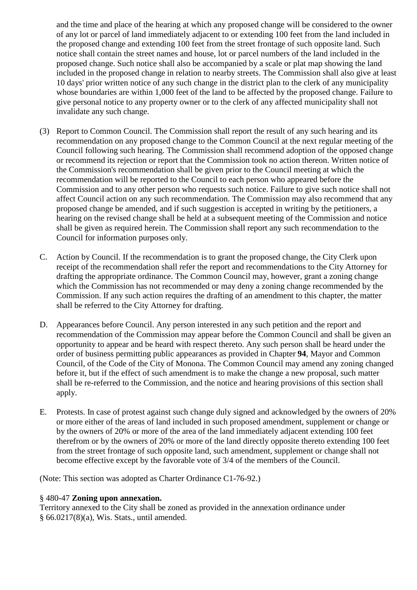and the time and place of the hearing at which any proposed change will be considered to the owner of any lot or parcel of land immediately adjacent to or extending 100 feet from the land included in the proposed change and extending 100 feet from the street frontage of such opposite land. Such notice shall contain the street names and house, lot or parcel numbers of the land included in the proposed change. Such notice shall also be accompanied by a scale or plat map showing the land included in the proposed change in relation to nearby streets. The Commission shall also give at least 10 days' prior written notice of any such change in the district plan to the clerk of any municipality whose boundaries are within 1,000 feet of the land to be affected by the proposed change. Failure to give personal notice to any property owner or to the clerk of any affected municipality shall not invalidate any such change.

- (3) Report to Common Council. The Commission shall report the result of any such hearing and its recommendation on any proposed change to the Common Council at the next regular meeting of the Council following such hearing. The Commission shall recommend adoption of the opposed change or recommend its rejection or report that the Commission took no action thereon. Written notice of the Commission's recommendation shall be given prior to the Council meeting at which the recommendation will be reported to the Council to each person who appeared before the Commission and to any other person who requests such notice. Failure to give such notice shall not affect Council action on any such recommendation. The Commission may also recommend that any proposed change be amended, and if such suggestion is accepted in writing by the petitioners, a hearing on the revised change shall be held at a subsequent meeting of the Commission and notice shall be given as required herein. The Commission shall report any such recommendation to the Council for information purposes only.
- C. Action by Council. If the recommendation is to grant the proposed change, the City Clerk upon receipt of the recommendation shall refer the report and recommendations to the City Attorney for drafting the appropriate ordinance. The Common Council may, however, grant a zoning change which the Commission has not recommended or may deny a zoning change recommended by the Commission. If any such action requires the drafting of an amendment to this chapter, the matter shall be referred to the City Attorney for drafting.
- D. Appearances before Council. Any person interested in any such petition and the report and recommendation of the Commission may appear before the Common Council and shall be given an opportunity to appear and be heard with respect thereto. Any such person shall be heard under the order of business permitting public appearances as provided in Chapter **94**, Mayor and Common Council, of the Code of the City of Monona. The Common Council may amend any zoning changed before it, but if the effect of such amendment is to make the change a new proposal, such matter shall be re-referred to the Commission, and the notice and hearing provisions of this section shall apply.
- E. Protests. In case of protest against such change duly signed and acknowledged by the owners of 20% or more either of the areas of land included in such proposed amendment, supplement or change or by the owners of 20% or more of the area of the land immediately adjacent extending 100 feet therefrom or by the owners of 20% or more of the land directly opposite thereto extending 100 feet from the street frontage of such opposite land, such amendment, supplement or change shall not become effective except by the favorable vote of 3/4 of the members of the Council.

(Note: This section was adopted as Charter Ordinance C1-76-92.)

## § 480-47 **Zoning upon annexation.**

Territory annexed to the City shall be zoned as provided in the annexation ordinance under § 66.0217(8)(a), Wis. Stats., until amended.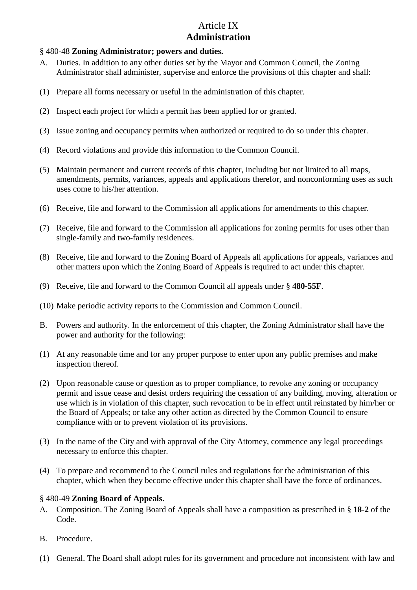# Article IX **Administration**

## § 480-48 **Zoning Administrator; powers and duties.**

- A. Duties. In addition to any other duties set by the Mayor and Common Council, the Zoning Administrator shall administer, supervise and enforce the provisions of this chapter and shall:
- (1) Prepare all forms necessary or useful in the administration of this chapter.
- (2) Inspect each project for which a permit has been applied for or granted.
- (3) Issue zoning and occupancy permits when authorized or required to do so under this chapter.
- (4) Record violations and provide this information to the Common Council.
- (5) Maintain permanent and current records of this chapter, including but not limited to all maps, amendments, permits, variances, appeals and applications therefor, and nonconforming uses as such uses come to his/her attention.
- (6) Receive, file and forward to the Commission all applications for amendments to this chapter.
- (7) Receive, file and forward to the Commission all applications for zoning permits for uses other than single-family and two-family residences.
- (8) Receive, file and forward to the Zoning Board of Appeals all applications for appeals, variances and other matters upon which the Zoning Board of Appeals is required to act under this chapter.
- (9) Receive, file and forward to the Common Council all appeals under § **480-55F**.
- (10) Make periodic activity reports to the Commission and Common Council.
- B. Powers and authority. In the enforcement of this chapter, the Zoning Administrator shall have the power and authority for the following:
- (1) At any reasonable time and for any proper purpose to enter upon any public premises and make inspection thereof.
- (2) Upon reasonable cause or question as to proper compliance, to revoke any zoning or occupancy permit and issue cease and desist orders requiring the cessation of any building, moving, alteration or use which is in violation of this chapter, such revocation to be in effect until reinstated by him/her or the Board of Appeals; or take any other action as directed by the Common Council to ensure compliance with or to prevent violation of its provisions.
- (3) In the name of the City and with approval of the City Attorney, commence any legal proceedings necessary to enforce this chapter.
- (4) To prepare and recommend to the Council rules and regulations for the administration of this chapter, which when they become effective under this chapter shall have the force of ordinances.

## § 480-49 **Zoning Board of Appeals.**

- A. Composition. The Zoning Board of Appeals shall have a composition as prescribed in § **18-2** of the Code.
- B. Procedure.
- (1) General. The Board shall adopt rules for its government and procedure not inconsistent with law and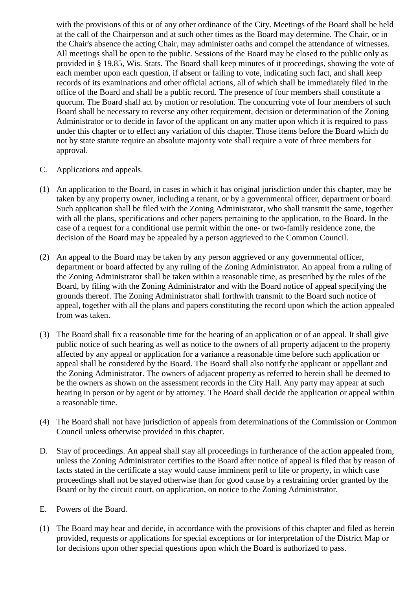with the provisions of this or of any other ordinance of the City. Meetings of the Board shall be held at the call of the Chairperson and at such other times as the Board may determine. The Chair, or in the Chair's absence the acting Chair, may administer oaths and compel the attendance of witnesses. All meetings shall be open to the public. Sessions of the Board may be closed to the public only as provided in § 19.85, Wis. Stats. The Board shall keep minutes of it proceedings, showing the vote of each member upon each question, if absent or failing to vote, indicating such fact, and shall keep records of its examinations and other official actions, all of which shall be immediately filed in the office of the Board and shall be a public record. The presence of four members shall constitute a quorum. The Board shall act by motion or resolution. The concurring vote of four members of such Board shall be necessary to reverse any other requirement, decision or determination of the Zoning Administrator or to decide in favor of the applicant on any matter upon which it is required to pass under this chapter or to effect any variation of this chapter. Those items before the Board which do not by state statute require an absolute majority vote shall require a vote of three members for approval.

- C. Applications and appeals.
- (1) An application to the Board, in cases in which it has original jurisdiction under this chapter, may be taken by any property owner, including a tenant, or by a governmental officer, department or board. Such application shall be filed with the Zoning Administrator, who shall transmit the same, together with all the plans, specifications and other papers pertaining to the application, to the Board. In the case of a request for a conditional use permit within the one- or two-family residence zone, the decision of the Board may be appealed by a person aggrieved to the Common Council.
- (2) An appeal to the Board may be taken by any person aggrieved or any governmental officer, department or board affected by any ruling of the Zoning Administrator. An appeal from a ruling of the Zoning Administrator shall be taken within a reasonable time, as prescribed by the rules of the Board, by filing with the Zoning Administrator and with the Board notice of appeal specifying the grounds thereof. The Zoning Administrator shall forthwith transmit to the Board such notice of appeal, together with all the plans and papers constituting the record upon which the action appealed from was taken.
- (3) The Board shall fix a reasonable time for the hearing of an application or of an appeal. It shall give public notice of such hearing as well as notice to the owners of all property adjacent to the property affected by any appeal or application for a variance a reasonable time before such application or appeal shall be considered by the Board. The Board shall also notify the applicant or appellant and the Zoning Administrator. The owners of adjacent property as referred to herein shall be deemed to be the owners as shown on the assessment records in the City Hall. Any party may appear at such hearing in person or by agent or by attorney. The Board shall decide the application or appeal within a reasonable time.
- (4) The Board shall not have jurisdiction of appeals from determinations of the Commission or Common Council unless otherwise provided in this chapter.
- D. Stay of proceedings. An appeal shall stay all proceedings in furtherance of the action appealed from, unless the Zoning Administrator certifies to the Board after notice of appeal is filed that by reason of facts stated in the certificate a stay would cause imminent peril to life or property, in which case proceedings shall not be stayed otherwise than for good cause by a restraining order granted by the Board or by the circuit court, on application, on notice to the Zoning Administrator.
- E. Powers of the Board.
- (1) The Board may hear and decide, in accordance with the provisions of this chapter and filed as herein provided, requests or applications for special exceptions or for interpretation of the District Map or for decisions upon other special questions upon which the Board is authorized to pass.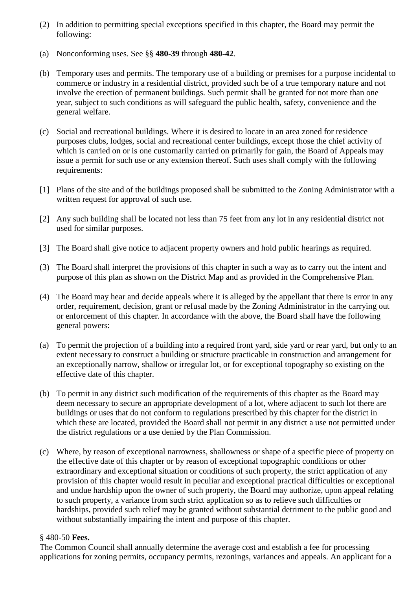- (2) In addition to permitting special exceptions specified in this chapter, the Board may permit the following:
- (a) Nonconforming uses. See §§ **480-39** through **480-42**.
- (b) Temporary uses and permits. The temporary use of a building or premises for a purpose incidental to commerce or industry in a residential district, provided such be of a true temporary nature and not involve the erection of permanent buildings. Such permit shall be granted for not more than one year, subject to such conditions as will safeguard the public health, safety, convenience and the general welfare.
- (c) Social and recreational buildings. Where it is desired to locate in an area zoned for residence purposes clubs, lodges, social and recreational center buildings, except those the chief activity of which is carried on or is one customarily carried on primarily for gain, the Board of Appeals may issue a permit for such use or any extension thereof. Such uses shall comply with the following requirements:
- [1] Plans of the site and of the buildings proposed shall be submitted to the Zoning Administrator with a written request for approval of such use.
- [2] Any such building shall be located not less than 75 feet from any lot in any residential district not used for similar purposes.
- [3] The Board shall give notice to adjacent property owners and hold public hearings as required.
- (3) The Board shall interpret the provisions of this chapter in such a way as to carry out the intent and purpose of this plan as shown on the District Map and as provided in the Comprehensive Plan.
- (4) The Board may hear and decide appeals where it is alleged by the appellant that there is error in any order, requirement, decision, grant or refusal made by the Zoning Administrator in the carrying out or enforcement of this chapter. In accordance with the above, the Board shall have the following general powers:
- (a) To permit the projection of a building into a required front yard, side yard or rear yard, but only to an extent necessary to construct a building or structure practicable in construction and arrangement for an exceptionally narrow, shallow or irregular lot, or for exceptional topography so existing on the effective date of this chapter.
- (b) To permit in any district such modification of the requirements of this chapter as the Board may deem necessary to secure an appropriate development of a lot, where adjacent to such lot there are buildings or uses that do not conform to regulations prescribed by this chapter for the district in which these are located, provided the Board shall not permit in any district a use not permitted under the district regulations or a use denied by the Plan Commission.
- (c) Where, by reason of exceptional narrowness, shallowness or shape of a specific piece of property on the effective date of this chapter or by reason of exceptional topographic conditions or other extraordinary and exceptional situation or conditions of such property, the strict application of any provision of this chapter would result in peculiar and exceptional practical difficulties or exceptional and undue hardship upon the owner of such property, the Board may authorize, upon appeal relating to such property, a variance from such strict application so as to relieve such difficulties or hardships, provided such relief may be granted without substantial detriment to the public good and without substantially impairing the intent and purpose of this chapter.

## § 480-50 **Fees.**

The Common Council shall annually determine the average cost and establish a fee for processing applications for zoning permits, occupancy permits, rezonings, variances and appeals. An applicant for a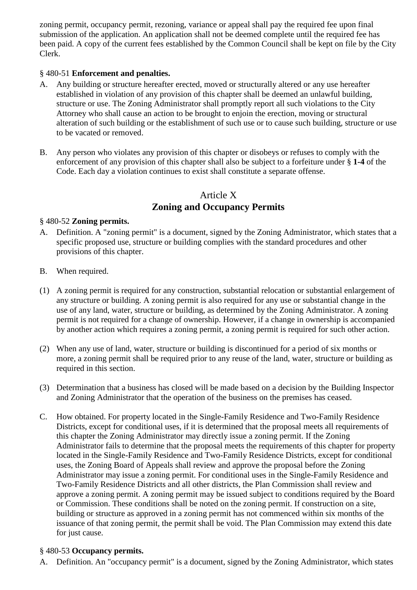zoning permit, occupancy permit, rezoning, variance or appeal shall pay the required fee upon final submission of the application. An application shall not be deemed complete until the required fee has been paid. A copy of the current fees established by the Common Council shall be kept on file by the City Clerk.

## § 480-51 **Enforcement and penalties.**

- A. Any building or structure hereafter erected, moved or structurally altered or any use hereafter established in violation of any provision of this chapter shall be deemed an unlawful building, structure or use. The Zoning Administrator shall promptly report all such violations to the City Attorney who shall cause an action to be brought to enjoin the erection, moving or structural alteration of such building or the establishment of such use or to cause such building, structure or use to be vacated or removed.
- B. Any person who violates any provision of this chapter or disobeys or refuses to comply with the enforcement of any provision of this chapter shall also be subject to a forfeiture under § **1-4** of the Code. Each day a violation continues to exist shall constitute a separate offense.

# Article X **Zoning and Occupancy Permits**

## § 480-52 **Zoning permits.**

- A. Definition. A "zoning permit" is a document, signed by the Zoning Administrator, which states that a specific proposed use, structure or building complies with the standard procedures and other provisions of this chapter.
- B. When required.
- (1) A zoning permit is required for any construction, substantial relocation or substantial enlargement of any structure or building. A zoning permit is also required for any use or substantial change in the use of any land, water, structure or building, as determined by the Zoning Administrator. A zoning permit is not required for a change of ownership. However, if a change in ownership is accompanied by another action which requires a zoning permit, a zoning permit is required for such other action.
- (2) When any use of land, water, structure or building is discontinued for a period of six months or more, a zoning permit shall be required prior to any reuse of the land, water, structure or building as required in this section.
- (3) Determination that a business has closed will be made based on a decision by the Building Inspector and Zoning Administrator that the operation of the business on the premises has ceased.
- C. How obtained. For property located in the Single-Family Residence and Two-Family Residence Districts, except for conditional uses, if it is determined that the proposal meets all requirements of this chapter the Zoning Administrator may directly issue a zoning permit. If the Zoning Administrator fails to determine that the proposal meets the requirements of this chapter for property located in the Single-Family Residence and Two-Family Residence Districts, except for conditional uses, the Zoning Board of Appeals shall review and approve the proposal before the Zoning Administrator may issue a zoning permit. For conditional uses in the Single-Family Residence and Two-Family Residence Districts and all other districts, the Plan Commission shall review and approve a zoning permit. A zoning permit may be issued subject to conditions required by the Board or Commission. These conditions shall be noted on the zoning permit. If construction on a site, building or structure as approved in a zoning permit has not commenced within six months of the issuance of that zoning permit, the permit shall be void. The Plan Commission may extend this date for just cause.

## § 480-53 **Occupancy permits.**

A. Definition. An "occupancy permit" is a document, signed by the Zoning Administrator, which states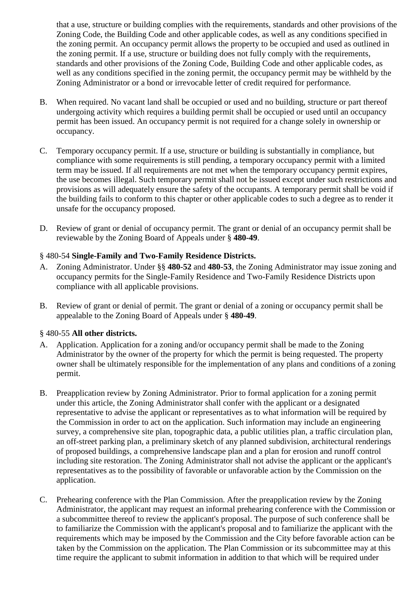that a use, structure or building complies with the requirements, standards and other provisions of the Zoning Code, the Building Code and other applicable codes, as well as any conditions specified in the zoning permit. An occupancy permit allows the property to be occupied and used as outlined in the zoning permit. If a use, structure or building does not fully comply with the requirements, standards and other provisions of the Zoning Code, Building Code and other applicable codes, as well as any conditions specified in the zoning permit, the occupancy permit may be withheld by the Zoning Administrator or a bond or irrevocable letter of credit required for performance.

- B. When required. No vacant land shall be occupied or used and no building, structure or part thereof undergoing activity which requires a building permit shall be occupied or used until an occupancy permit has been issued. An occupancy permit is not required for a change solely in ownership or occupancy.
- C. Temporary occupancy permit. If a use, structure or building is substantially in compliance, but compliance with some requirements is still pending, a temporary occupancy permit with a limited term may be issued. If all requirements are not met when the temporary occupancy permit expires, the use becomes illegal. Such temporary permit shall not be issued except under such restrictions and provisions as will adequately ensure the safety of the occupants. A temporary permit shall be void if the building fails to conform to this chapter or other applicable codes to such a degree as to render it unsafe for the occupancy proposed.
- D. Review of grant or denial of occupancy permit. The grant or denial of an occupancy permit shall be reviewable by the Zoning Board of Appeals under § **480-49**.

## § 480-54 **Single-Family and Two-Family Residence Districts.**

- A. Zoning Administrator. Under §§ **480-52** and **480-53**, the Zoning Administrator may issue zoning and occupancy permits for the Single-Family Residence and Two-Family Residence Districts upon compliance with all applicable provisions.
- B. Review of grant or denial of permit. The grant or denial of a zoning or occupancy permit shall be appealable to the Zoning Board of Appeals under § **480-49**.

## § 480-55 **All other districts.**

- A. Application. Application for a zoning and/or occupancy permit shall be made to the Zoning Administrator by the owner of the property for which the permit is being requested. The property owner shall be ultimately responsible for the implementation of any plans and conditions of a zoning permit.
- B. Preapplication review by Zoning Administrator. Prior to formal application for a zoning permit under this article, the Zoning Administrator shall confer with the applicant or a designated representative to advise the applicant or representatives as to what information will be required by the Commission in order to act on the application. Such information may include an engineering survey, a comprehensive site plan, topographic data, a public utilities plan, a traffic circulation plan, an off-street parking plan, a preliminary sketch of any planned subdivision, architectural renderings of proposed buildings, a comprehensive landscape plan and a plan for erosion and runoff control including site restoration. The Zoning Administrator shall not advise the applicant or the applicant's representatives as to the possibility of favorable or unfavorable action by the Commission on the application.
- C. Prehearing conference with the Plan Commission. After the preapplication review by the Zoning Administrator, the applicant may request an informal prehearing conference with the Commission or a subcommittee thereof to review the applicant's proposal. The purpose of such conference shall be to familiarize the Commission with the applicant's proposal and to familiarize the applicant with the requirements which may be imposed by the Commission and the City before favorable action can be taken by the Commission on the application. The Plan Commission or its subcommittee may at this time require the applicant to submit information in addition to that which will be required under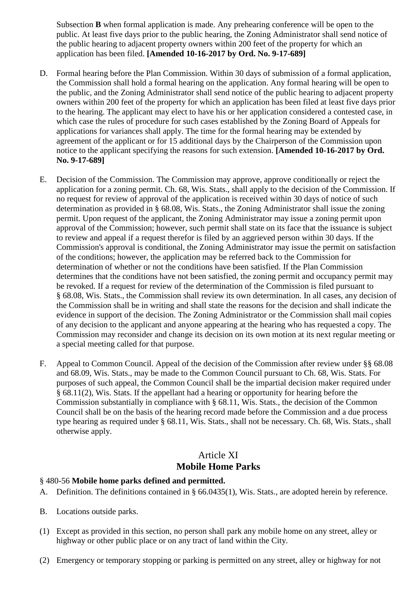Subsection **B** when formal application is made. Any prehearing conference will be open to the public. At least five days prior to the public hearing, the Zoning Administrator shall send notice of the public hearing to adjacent property owners within 200 feet of the property for which an application has been filed. **[Amended 10-16-2017 by Ord. No. 9-17-689]**

- D. Formal hearing before the Plan Commission. Within 30 days of submission of a formal application, the Commission shall hold a formal hearing on the application. Any formal hearing will be open to the public, and the Zoning Administrator shall send notice of the public hearing to adjacent property owners within 200 feet of the property for which an application has been filed at least five days prior to the hearing. The applicant may elect to have his or her application considered a contested case, in which case the rules of procedure for such cases established by the Zoning Board of Appeals for applications for variances shall apply. The time for the formal hearing may be extended by agreement of the applicant or for 15 additional days by the Chairperson of the Commission upon notice to the applicant specifying the reasons for such extension. **[Amended 10-16-2017 by Ord. No. 9-17-689]**
- E. Decision of the Commission. The Commission may approve, approve conditionally or reject the application for a zoning permit. Ch. 68, Wis. Stats., shall apply to the decision of the Commission. If no request for review of approval of the application is received within 30 days of notice of such determination as provided in § 68.08, Wis. Stats., the Zoning Administrator shall issue the zoning permit. Upon request of the applicant, the Zoning Administrator may issue a zoning permit upon approval of the Commission; however, such permit shall state on its face that the issuance is subject to review and appeal if a request therefor is filed by an aggrieved person within 30 days. If the Commission's approval is conditional, the Zoning Administrator may issue the permit on satisfaction of the conditions; however, the application may be referred back to the Commission for determination of whether or not the conditions have been satisfied. If the Plan Commission determines that the conditions have not been satisfied, the zoning permit and occupancy permit may be revoked. If a request for review of the determination of the Commission is filed pursuant to § 68.08, Wis. Stats., the Commission shall review its own determination. In all cases, any decision of the Commission shall be in writing and shall state the reasons for the decision and shall indicate the evidence in support of the decision. The Zoning Administrator or the Commission shall mail copies of any decision to the applicant and anyone appearing at the hearing who has requested a copy. The Commission may reconsider and change its decision on its own motion at its next regular meeting or a special meeting called for that purpose.
- F. Appeal to Common Council. Appeal of the decision of the Commission after review under §§ 68.08 and 68.09, Wis. Stats., may be made to the Common Council pursuant to Ch. 68, Wis. Stats. For purposes of such appeal, the Common Council shall be the impartial decision maker required under § 68.11(2), Wis. Stats. If the appellant had a hearing or opportunity for hearing before the Commission substantially in compliance with § 68.11, Wis. Stats., the decision of the Common Council shall be on the basis of the hearing record made before the Commission and a due process type hearing as required under § 68.11, Wis. Stats., shall not be necessary. Ch. 68, Wis. Stats., shall otherwise apply.

# Article XI **Mobile Home Parks**

## § 480-56 **Mobile home parks defined and permitted.**

- A. Definition. The definitions contained in § 66.0435(1), Wis. Stats., are adopted herein by reference.
- B. Locations outside parks.
- (1) Except as provided in this section, no person shall park any mobile home on any street, alley or highway or other public place or on any tract of land within the City.
- (2) Emergency or temporary stopping or parking is permitted on any street, alley or highway for not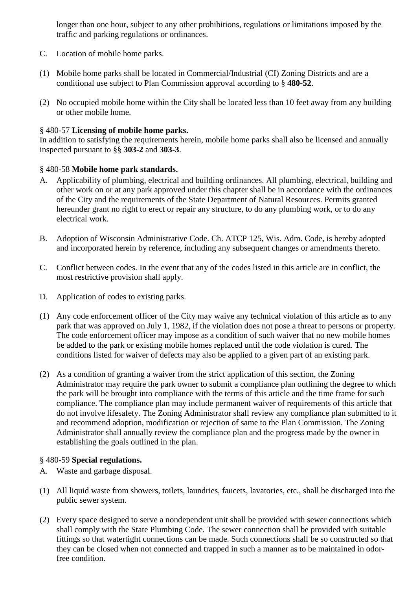longer than one hour, subject to any other prohibitions, regulations or limitations imposed by the traffic and parking regulations or ordinances.

- C. Location of mobile home parks.
- (1) Mobile home parks shall be located in Commercial/Industrial (CI) Zoning Districts and are a conditional use subject to Plan Commission approval according to § **480-52**.
- (2) No occupied mobile home within the City shall be located less than 10 feet away from any building or other mobile home.

## § 480-57 **Licensing of mobile home parks.**

In addition to satisfying the requirements herein, mobile home parks shall also be licensed and annually inspected pursuant to §§ **303-2** and **303-3**.

## § 480-58 **Mobile home park standards.**

- A. Applicability of plumbing, electrical and building ordinances. All plumbing, electrical, building and other work on or at any park approved under this chapter shall be in accordance with the ordinances of the City and the requirements of the State Department of Natural Resources. Permits granted hereunder grant no right to erect or repair any structure, to do any plumbing work, or to do any electrical work.
- B. Adoption of Wisconsin Administrative Code. Ch. ATCP 125, Wis. Adm. Code, is hereby adopted and incorporated herein by reference, including any subsequent changes or amendments thereto.
- C. Conflict between codes. In the event that any of the codes listed in this article are in conflict, the most restrictive provision shall apply.
- D. Application of codes to existing parks.
- (1) Any code enforcement officer of the City may waive any technical violation of this article as to any park that was approved on July 1, 1982, if the violation does not pose a threat to persons or property. The code enforcement officer may impose as a condition of such waiver that no new mobile homes be added to the park or existing mobile homes replaced until the code violation is cured. The conditions listed for waiver of defects may also be applied to a given part of an existing park.
- (2) As a condition of granting a waiver from the strict application of this section, the Zoning Administrator may require the park owner to submit a compliance plan outlining the degree to which the park will be brought into compliance with the terms of this article and the time frame for such compliance. The compliance plan may include permanent waiver of requirements of this article that do not involve lifesafety. The Zoning Administrator shall review any compliance plan submitted to it and recommend adoption, modification or rejection of same to the Plan Commission. The Zoning Administrator shall annually review the compliance plan and the progress made by the owner in establishing the goals outlined in the plan.

#### § 480-59 **Special regulations.**

- A. Waste and garbage disposal.
- (1) All liquid waste from showers, toilets, laundries, faucets, lavatories, etc., shall be discharged into the public sewer system.
- (2) Every space designed to serve a nondependent unit shall be provided with sewer connections which shall comply with the State Plumbing Code. The sewer connection shall be provided with suitable fittings so that watertight connections can be made. Such connections shall be so constructed so that they can be closed when not connected and trapped in such a manner as to be maintained in odorfree condition.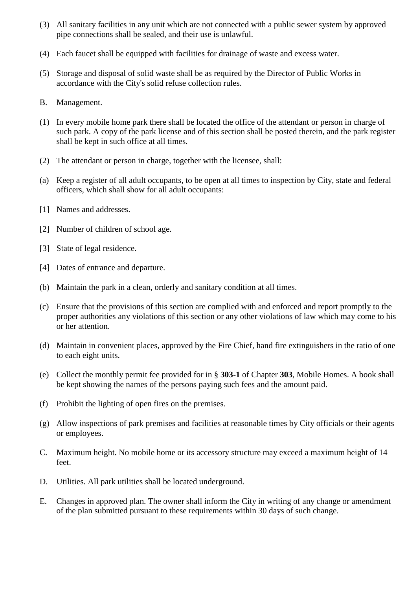- (3) All sanitary facilities in any unit which are not connected with a public sewer system by approved pipe connections shall be sealed, and their use is unlawful.
- (4) Each faucet shall be equipped with facilities for drainage of waste and excess water.
- (5) Storage and disposal of solid waste shall be as required by the Director of Public Works in accordance with the City's solid refuse collection rules.
- B. Management.
- (1) In every mobile home park there shall be located the office of the attendant or person in charge of such park. A copy of the park license and of this section shall be posted therein, and the park register shall be kept in such office at all times.
- (2) The attendant or person in charge, together with the licensee, shall:
- (a) Keep a register of all adult occupants, to be open at all times to inspection by City, state and federal officers, which shall show for all adult occupants:
- [1] Names and addresses.
- [2] Number of children of school age.
- [3] State of legal residence.
- [4] Dates of entrance and departure.
- (b) Maintain the park in a clean, orderly and sanitary condition at all times.
- (c) Ensure that the provisions of this section are complied with and enforced and report promptly to the proper authorities any violations of this section or any other violations of law which may come to his or her attention.
- (d) Maintain in convenient places, approved by the Fire Chief, hand fire extinguishers in the ratio of one to each eight units.
- (e) Collect the monthly permit fee provided for in § **303-1** of Chapter **303**, Mobile Homes. A book shall be kept showing the names of the persons paying such fees and the amount paid.
- (f) Prohibit the lighting of open fires on the premises.
- (g) Allow inspections of park premises and facilities at reasonable times by City officials or their agents or employees.
- C. Maximum height. No mobile home or its accessory structure may exceed a maximum height of 14 feet.
- D. Utilities. All park utilities shall be located underground.
- E. Changes in approved plan. The owner shall inform the City in writing of any change or amendment of the plan submitted pursuant to these requirements within 30 days of such change.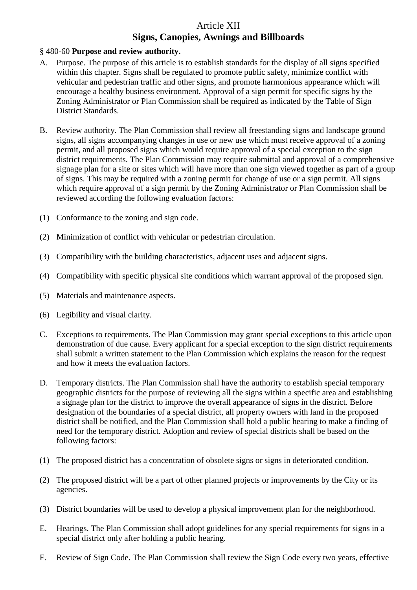# Article XII **Signs, Canopies, Awnings and Billboards**

## § 480-60 **Purpose and review authority.**

- A. Purpose. The purpose of this article is to establish standards for the display of all signs specified within this chapter. Signs shall be regulated to promote public safety, minimize conflict with vehicular and pedestrian traffic and other signs, and promote harmonious appearance which will encourage a healthy business environment. Approval of a sign permit for specific signs by the Zoning Administrator or Plan Commission shall be required as indicated by the Table of Sign District Standards.
- B. Review authority. The Plan Commission shall review all freestanding signs and landscape ground signs, all signs accompanying changes in use or new use which must receive approval of a zoning permit, and all proposed signs which would require approval of a special exception to the sign district requirements. The Plan Commission may require submittal and approval of a comprehensive signage plan for a site or sites which will have more than one sign viewed together as part of a group of signs. This may be required with a zoning permit for change of use or a sign permit. All signs which require approval of a sign permit by the Zoning Administrator or Plan Commission shall be reviewed according the following evaluation factors:
- (1) Conformance to the zoning and sign code.
- (2) Minimization of conflict with vehicular or pedestrian circulation.
- (3) Compatibility with the building characteristics, adjacent uses and adjacent signs.
- (4) Compatibility with specific physical site conditions which warrant approval of the proposed sign.
- (5) Materials and maintenance aspects.
- (6) Legibility and visual clarity.
- C. Exceptions to requirements. The Plan Commission may grant special exceptions to this article upon demonstration of due cause. Every applicant for a special exception to the sign district requirements shall submit a written statement to the Plan Commission which explains the reason for the request and how it meets the evaluation factors.
- D. Temporary districts. The Plan Commission shall have the authority to establish special temporary geographic districts for the purpose of reviewing all the signs within a specific area and establishing a signage plan for the district to improve the overall appearance of signs in the district. Before designation of the boundaries of a special district, all property owners with land in the proposed district shall be notified, and the Plan Commission shall hold a public hearing to make a finding of need for the temporary district. Adoption and review of special districts shall be based on the following factors:
- (1) The proposed district has a concentration of obsolete signs or signs in deteriorated condition.
- (2) The proposed district will be a part of other planned projects or improvements by the City or its agencies.
- (3) District boundaries will be used to develop a physical improvement plan for the neighborhood.
- E. Hearings. The Plan Commission shall adopt guidelines for any special requirements for signs in a special district only after holding a public hearing.
- F. Review of Sign Code. The Plan Commission shall review the Sign Code every two years, effective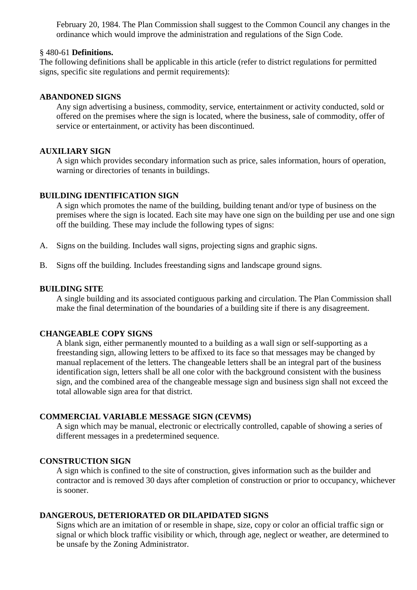February 20, 1984. The Plan Commission shall suggest to the Common Council any changes in the ordinance which would improve the administration and regulations of the Sign Code.

## § 480-61 **Definitions.**

The following definitions shall be applicable in this article (refer to district regulations for permitted signs, specific site regulations and permit requirements):

#### **ABANDONED SIGNS**

Any sign advertising a business, commodity, service, entertainment or activity conducted, sold or offered on the premises where the sign is located, where the business, sale of commodity, offer of service or entertainment, or activity has been discontinued.

#### **AUXILIARY SIGN**

A sign which provides secondary information such as price, sales information, hours of operation, warning or directories of tenants in buildings.

#### **BUILDING IDENTIFICATION SIGN**

A sign which promotes the name of the building, building tenant and/or type of business on the premises where the sign is located. Each site may have one sign on the building per use and one sign off the building. These may include the following types of signs:

- A. Signs on the building. Includes wall signs, projecting signs and graphic signs.
- B. Signs off the building. Includes freestanding signs and landscape ground signs.

#### **BUILDING SITE**

A single building and its associated contiguous parking and circulation. The Plan Commission shall make the final determination of the boundaries of a building site if there is any disagreement.

#### **CHANGEABLE COPY SIGNS**

A blank sign, either permanently mounted to a building as a wall sign or self-supporting as a freestanding sign, allowing letters to be affixed to its face so that messages may be changed by manual replacement of the letters. The changeable letters shall be an integral part of the business identification sign, letters shall be all one color with the background consistent with the business sign, and the combined area of the changeable message sign and business sign shall not exceed the total allowable sign area for that district.

#### **COMMERCIAL VARIABLE MESSAGE SIGN (CEVMS)**

A sign which may be manual, electronic or electrically controlled, capable of showing a series of different messages in a predetermined sequence.

## **CONSTRUCTION SIGN**

A sign which is confined to the site of construction, gives information such as the builder and contractor and is removed 30 days after completion of construction or prior to occupancy, whichever is sooner.

#### **DANGEROUS, DETERIORATED OR DILAPIDATED SIGNS**

Signs which are an imitation of or resemble in shape, size, copy or color an official traffic sign or signal or which block traffic visibility or which, through age, neglect or weather, are determined to be unsafe by the Zoning Administrator.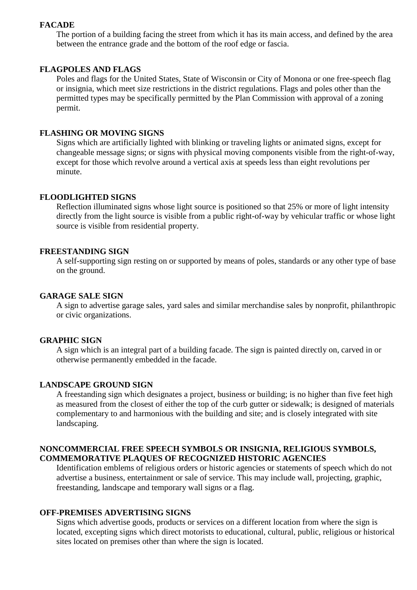#### **FACADE**

The portion of a building facing the street from which it has its main access, and defined by the area between the entrance grade and the bottom of the roof edge or fascia.

#### **FLAGPOLES AND FLAGS**

Poles and flags for the United States, State of Wisconsin or City of Monona or one free-speech flag or insignia, which meet size restrictions in the district regulations. Flags and poles other than the permitted types may be specifically permitted by the Plan Commission with approval of a zoning permit.

#### **FLASHING OR MOVING SIGNS**

Signs which are artificially lighted with blinking or traveling lights or animated signs, except for changeable message signs; or signs with physical moving components visible from the right-of-way, except for those which revolve around a vertical axis at speeds less than eight revolutions per minute.

#### **FLOODLIGHTED SIGNS**

Reflection illuminated signs whose light source is positioned so that 25% or more of light intensity directly from the light source is visible from a public right-of-way by vehicular traffic or whose light source is visible from residential property.

#### **FREESTANDING SIGN**

A self-supporting sign resting on or supported by means of poles, standards or any other type of base on the ground.

#### **GARAGE SALE SIGN**

A sign to advertise garage sales, yard sales and similar merchandise sales by nonprofit, philanthropic or civic organizations.

#### **GRAPHIC SIGN**

A sign which is an integral part of a building facade. The sign is painted directly on, carved in or otherwise permanently embedded in the facade.

#### **LANDSCAPE GROUND SIGN**

A freestanding sign which designates a project, business or building; is no higher than five feet high as measured from the closest of either the top of the curb gutter or sidewalk; is designed of materials complementary to and harmonious with the building and site; and is closely integrated with site landscaping.

## **NONCOMMERCIAL FREE SPEECH SYMBOLS OR INSIGNIA, RELIGIOUS SYMBOLS, COMMEMORATIVE PLAQUES OF RECOGNIZED HISTORIC AGENCIES**

Identification emblems of religious orders or historic agencies or statements of speech which do not advertise a business, entertainment or sale of service. This may include wall, projecting, graphic, freestanding, landscape and temporary wall signs or a flag.

#### **OFF-PREMISES ADVERTISING SIGNS**

Signs which advertise goods, products or services on a different location from where the sign is located, excepting signs which direct motorists to educational, cultural, public, religious or historical sites located on premises other than where the sign is located.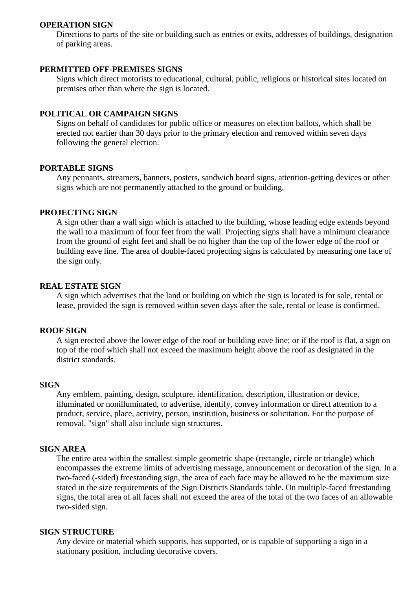#### **OPERATION SIGN**

Directions to parts of the site or building such as entries or exits, addresses of buildings, designation of parking areas.

#### **PERMITTED OFF-PREMISES SIGNS**

Signs which direct motorists to educational, cultural, public, religious or historical sites located on premises other than where the sign is located.

#### **POLITICAL OR CAMPAIGN SIGNS**

Signs on behalf of candidates for public office or measures on election ballots, which shall be erected not earlier than 30 days prior to the primary election and removed within seven days following the general election.

#### **PORTABLE SIGNS**

Any pennants, streamers, banners, posters, sandwich board signs, attention-getting devices or other signs which are not permanently attached to the ground or building.

#### **PROJECTING SIGN**

A sign other than a wall sign which is attached to the building, whose leading edge extends beyond the wall to a maximum of four feet from the wall. Projecting signs shall have a minimum clearance from the ground of eight feet and shall be no higher than the top of the lower edge of the roof or building eave line. The area of double-faced projecting signs is calculated by measuring one face of the sign only.

#### **REAL ESTATE SIGN**

A sign which advertises that the land or building on which the sign is located is for sale, rental or lease, provided the sign is removed within seven days after the sale, rental or lease is confirmed.

#### **ROOF SIGN**

A sign erected above the lower edge of the roof or building eave line; or if the roof is flat, a sign on top of the roof which shall not exceed the maximum height above the roof as designated in the district standards.

#### **SIGN**

Any emblem, painting, design, sculpture, identification, description, illustration or device, illuminated or nonilluminated, to advertise, identify, convey information or direct attention to a product, service, place, activity, person, institution, business or solicitation. For the purpose of removal, "sign" shall also include sign structures.

#### **SIGN AREA**

The entire area within the smallest simple geometric shape (rectangle, circle or triangle) which encompasses the extreme limits of advertising message, announcement or decoration of the sign. In a two-faced (-sided) freestanding sign, the area of each face may be allowed to be the maximum size stated in the size requirements of the Sign Districts Standards table. On multiple-faced freestanding signs, the total area of all faces shall not exceed the area of the total of the two faces of an allowable two-sided sign.

#### **SIGN STRUCTURE**

Any device or material which supports, has supported, or is capable of supporting a sign in a stationary position, including decorative covers.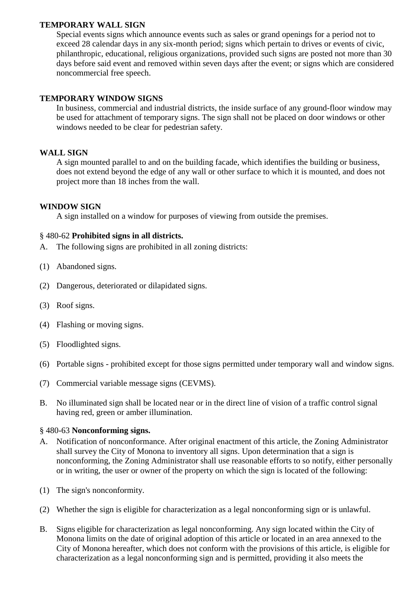## **TEMPORARY WALL SIGN**

Special events signs which announce events such as sales or grand openings for a period not to exceed 28 calendar days in any six-month period; signs which pertain to drives or events of civic, philanthropic, educational, religious organizations, provided such signs are posted not more than 30 days before said event and removed within seven days after the event; or signs which are considered noncommercial free speech.

#### **TEMPORARY WINDOW SIGNS**

In business, commercial and industrial districts, the inside surface of any ground-floor window may be used for attachment of temporary signs. The sign shall not be placed on door windows or other windows needed to be clear for pedestrian safety.

## **WALL SIGN**

A sign mounted parallel to and on the building facade, which identifies the building or business, does not extend beyond the edge of any wall or other surface to which it is mounted, and does not project more than 18 inches from the wall.

## **WINDOW SIGN**

A sign installed on a window for purposes of viewing from outside the premises.

## § 480-62 **Prohibited signs in all districts.**

- A. The following signs are prohibited in all zoning districts:
- (1) Abandoned signs.
- (2) Dangerous, deteriorated or dilapidated signs.
- (3) Roof signs.
- (4) Flashing or moving signs.
- (5) Floodlighted signs.
- (6) Portable signs prohibited except for those signs permitted under temporary wall and window signs.
- (7) Commercial variable message signs (CEVMS).
- B. No illuminated sign shall be located near or in the direct line of vision of a traffic control signal having red, green or amber illumination.

#### § 480-63 **Nonconforming signs.**

- A. Notification of nonconformance. After original enactment of this article, the Zoning Administrator shall survey the City of Monona to inventory all signs. Upon determination that a sign is nonconforming, the Zoning Administrator shall use reasonable efforts to so notify, either personally or in writing, the user or owner of the property on which the sign is located of the following:
- (1) The sign's nonconformity.
- (2) Whether the sign is eligible for characterization as a legal nonconforming sign or is unlawful.
- B. Signs eligible for characterization as legal nonconforming. Any sign located within the City of Monona limits on the date of original adoption of this article or located in an area annexed to the City of Monona hereafter, which does not conform with the provisions of this article, is eligible for characterization as a legal nonconforming sign and is permitted, providing it also meets the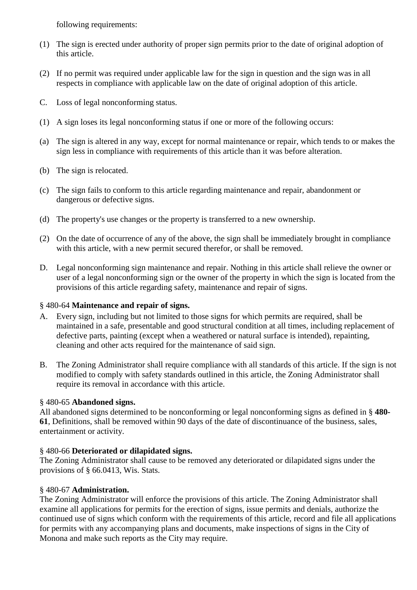following requirements:

- (1) The sign is erected under authority of proper sign permits prior to the date of original adoption of this article.
- (2) If no permit was required under applicable law for the sign in question and the sign was in all respects in compliance with applicable law on the date of original adoption of this article.
- C. Loss of legal nonconforming status.
- (1) A sign loses its legal nonconforming status if one or more of the following occurs:
- (a) The sign is altered in any way, except for normal maintenance or repair, which tends to or makes the sign less in compliance with requirements of this article than it was before alteration.
- (b) The sign is relocated.
- (c) The sign fails to conform to this article regarding maintenance and repair, abandonment or dangerous or defective signs.
- (d) The property's use changes or the property is transferred to a new ownership.
- (2) On the date of occurrence of any of the above, the sign shall be immediately brought in compliance with this article, with a new permit secured therefor, or shall be removed.
- D. Legal nonconforming sign maintenance and repair. Nothing in this article shall relieve the owner or user of a legal nonconforming sign or the owner of the property in which the sign is located from the provisions of this article regarding safety, maintenance and repair of signs.

## § 480-64 **Maintenance and repair of signs.**

- A. Every sign, including but not limited to those signs for which permits are required, shall be maintained in a safe, presentable and good structural condition at all times, including replacement of defective parts, painting (except when a weathered or natural surface is intended), repainting, cleaning and other acts required for the maintenance of said sign.
- B. The Zoning Administrator shall require compliance with all standards of this article. If the sign is not modified to comply with safety standards outlined in this article, the Zoning Administrator shall require its removal in accordance with this article.

## § 480-65 **Abandoned signs.**

All abandoned signs determined to be nonconforming or legal nonconforming signs as defined in § **480- 61**, Definitions, shall be removed within 90 days of the date of discontinuance of the business, sales, entertainment or activity.

## § 480-66 **Deteriorated or dilapidated signs.**

The Zoning Administrator shall cause to be removed any deteriorated or dilapidated signs under the provisions of § 66.0413, Wis. Stats.

## § 480-67 **Administration.**

The Zoning Administrator will enforce the provisions of this article. The Zoning Administrator shall examine all applications for permits for the erection of signs, issue permits and denials, authorize the continued use of signs which conform with the requirements of this article, record and file all applications for permits with any accompanying plans and documents, make inspections of signs in the City of Monona and make such reports as the City may require.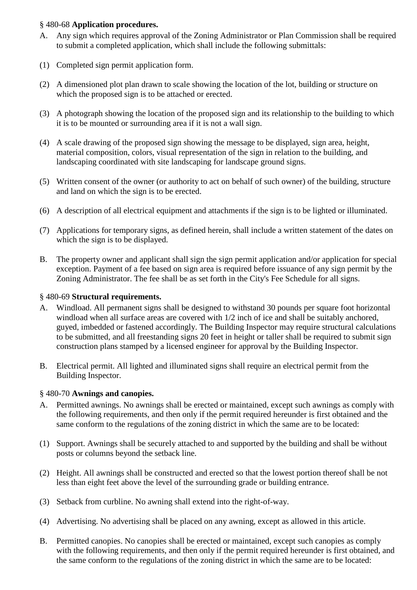## § 480-68 **Application procedures.**

- A. Any sign which requires approval of the Zoning Administrator or Plan Commission shall be required to submit a completed application, which shall include the following submittals:
- (1) Completed sign permit application form.
- (2) A dimensioned plot plan drawn to scale showing the location of the lot, building or structure on which the proposed sign is to be attached or erected.
- (3) A photograph showing the location of the proposed sign and its relationship to the building to which it is to be mounted or surrounding area if it is not a wall sign.
- (4) A scale drawing of the proposed sign showing the message to be displayed, sign area, height, material composition, colors, visual representation of the sign in relation to the building, and landscaping coordinated with site landscaping for landscape ground signs.
- (5) Written consent of the owner (or authority to act on behalf of such owner) of the building, structure and land on which the sign is to be erected.
- (6) A description of all electrical equipment and attachments if the sign is to be lighted or illuminated.
- (7) Applications for temporary signs, as defined herein, shall include a written statement of the dates on which the sign is to be displayed.
- B. The property owner and applicant shall sign the sign permit application and/or application for special exception. Payment of a fee based on sign area is required before issuance of any sign permit by the Zoning Administrator. The fee shall be as set forth in the City's Fee Schedule for all signs.

## § 480-69 **Structural requirements.**

- A. Windload. All permanent signs shall be designed to withstand 30 pounds per square foot horizontal windload when all surface areas are covered with 1/2 inch of ice and shall be suitably anchored, guyed, imbedded or fastened accordingly. The Building Inspector may require structural calculations to be submitted, and all freestanding signs 20 feet in height or taller shall be required to submit sign construction plans stamped by a licensed engineer for approval by the Building Inspector.
- B. Electrical permit. All lighted and illuminated signs shall require an electrical permit from the Building Inspector.

#### § 480-70 **Awnings and canopies.**

- A. Permitted awnings. No awnings shall be erected or maintained, except such awnings as comply with the following requirements, and then only if the permit required hereunder is first obtained and the same conform to the regulations of the zoning district in which the same are to be located:
- (1) Support. Awnings shall be securely attached to and supported by the building and shall be without posts or columns beyond the setback line.
- (2) Height. All awnings shall be constructed and erected so that the lowest portion thereof shall be not less than eight feet above the level of the surrounding grade or building entrance.
- (3) Setback from curbline. No awning shall extend into the right-of-way.
- (4) Advertising. No advertising shall be placed on any awning, except as allowed in this article.
- B. Permitted canopies. No canopies shall be erected or maintained, except such canopies as comply with the following requirements, and then only if the permit required hereunder is first obtained, and the same conform to the regulations of the zoning district in which the same are to be located: